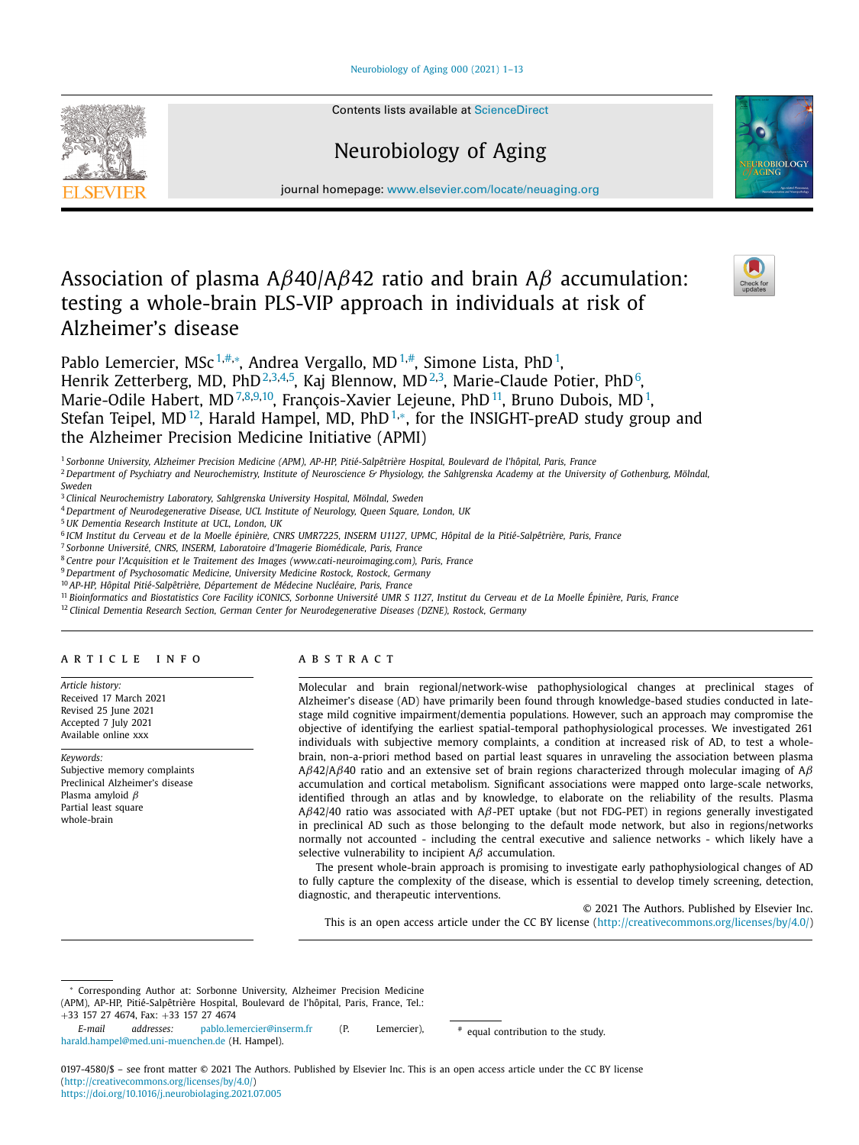## [Neurobiology](https://doi.org/10.1016/j.neurobiolaging.2021.07.005) of Aging 000 (2021) 1–13

Contents lists available at [ScienceDirect](http://www.ScienceDirect.com)

# Neurobiology of Aging

journal homepage: [www.elsevier.com/locate/neuaging.org](http://www.elsevier.com/locate/neuaging.org)

# Association of plasma  $A\beta$ 40/A $\beta$ 42 ratio and brain A $\beta$  accumulation: testing a whole-brain PLS-VIP approach in individuals at risk of Alzheimer's disease

Pablo Lemercier, MSc™<sup>#,</sup>\*, Andrea Vergallo, MD™, Simone Lista, PhD™, Henrik Zetterberg, MD, PhD<sup>2,3,4,5</sup>, Kaj Blennow, MD<sup>2,3</sup>, Marie-Claude Potier, PhD<sup>6</sup>, Marie-Odile Habert, MD<sup>7,8,9,10</sup>, François-Xavier Lejeune, PhD<sup>11</sup>, Bruno Dubois, MD<sup>1</sup>, Stefan Teipel, MD<sup>12</sup>, Harald Hampel, MD, PhD<sup>1,\*</sup>, for the INSIGHT-preAD study group and the Alzheimer Precision Medicine Initiative (APMI)

<sup>1</sup> Sorbonne University, Alzheimer Precision Medicine (APM), AP-HP, Pitié-Salpêtrière Hospital, Boulevard de l'hôpital, Paris, France

 ${}^{2}$  Department of Psychiatry and Neurochemistry, Institute of Neuroscience & Physiology, the Sahlgrenska Academy at the University of Gothenburg, Mölndal,

*Sweden*

<sup>3</sup> *Clinical Neurochemistry Laboratory, Sahlgrenska University Hospital, Mölndal, Sweden*

<sup>4</sup> *Department of Neurodegenerative Disease, UCL Institute of Neurology, Queen Square, London, UK*

<sup>5</sup> *UK Dementia Research Institute at UCL, London, UK*

<sup>6</sup> ICM Institut du Cerveau et de la Moelle épinière, CNRS UMR7225, INSERM U1127, UPMC, Hôpital de la Pitié-Salpêtrière, Paris, France

<sup>7</sup> *Sorbonne Université, CNRS, INSERM, Laboratoire d'Imagerie Biomédicale, Paris, France*

<sup>8</sup> *Centre pour l'Acquisition et le Traitement des Images (www.cati-neuroimaging.com), Paris, France*

<sup>9</sup> *Department of Psychosomatic Medicine, University Medicine Rostock, Rostock, Germany*

<sup>10</sup> *AP-HP, Hôpital Pitié-Salpêtrière, Département de Médecine Nucléaire, Paris, France*

<sup>11</sup> Bioinformatics and Biostatistics Core Facility iCONICS, Sorbonne Université UMR S 1127, Institut du Cerveau et de La Moelle Épinière, Paris, France

<sup>12</sup> *Clinical Dementia Research Section, German Center for Neurodegenerative Diseases (DZNE), Rostock, Germany*

## a r t i c l e i n f o

*Article history:* Received 17 March 2021 Revised 25 June 2021 Accepted 7 July 2021 Available online xxx

*Keywords:*

Subjective memory complaints Preclinical Alzheimer's disease Plasma amyloid β Partial least square whole-brain

## A B S T R A C T

Molecular and brain regional/network-wise pathophysiological changes at preclinical stages of Alzheimer's disease (AD) have primarily been found through knowledge-based studies conducted in latestage mild cognitive impairment/dementia populations. However, such an approach may compromise the objective of identifying the earliest spatial-temporal pathophysiological processes. We investigated 261 individuals with subjective memory complaints, a condition at increased risk of AD, to test a wholebrain, non-a-priori method based on partial least squares in unraveling the association between plasma Aβ42/Aβ40 ratio and an extensive set of brain regions characterized through molecular imaging of Aβ accumulation and cortical metabolism. Significant associations were mapped onto large-scale networks, identified through an atlas and by knowledge, to elaborate on the reliability of the results. Plasma Aβ42/40 ratio was associated with Aβ-PET uptake (but not FDG-PET) in regions generally investigated in preclinical AD such as those belonging to the default mode network, but also in regions/networks normally not accounted - including the central executive and salience networks - which likely have a selective vulnerability to incipient  $A\beta$  accumulation.

The present whole-brain approach is promising to investigate early pathophysiological changes of AD to fully capture the complexity of the disease, which is essential to develop timely screening, detection, diagnostic, and therapeutic interventions.

© 2021 The Authors. Published by Elsevier Inc. This is an open access article under the CC BY license [\(http://creativecommons.org/licenses/by/4.0/\)](http://creativecommons.org/licenses/by/4.0/)

Corresponding Author at: Sorbonne University, Alzheimer Precision Medicine (APM), AP-HP, Pitié-Salpêtrière Hospital, Boulevard de l'hôpital, Paris, France, Tel.: +33 157 27 4674, Fax: +33 157 27 4674<br>E-mail addresses: pablo.ler

[pablo.lemercier@inserm.fr](mailto:pablo.lemercier@inserm.fr) (P. Lemercier), [harald.hampel@med.uni-muenchen.de](mailto:harald.hampel@med.uni-muenchen.de) (H. Hampel).

equal contribution to the study.

0197-4580/\$ – see front matter © 2021 The Authors. Published by Elsevier Inc. This is an open access article under the CC BY license [\(http://creativecommons.org/licenses/by/4.0/\)](http://creativecommons.org/licenses/by/4.0/) <https://doi.org/10.1016/j.neurobiolaging.2021.07.005>



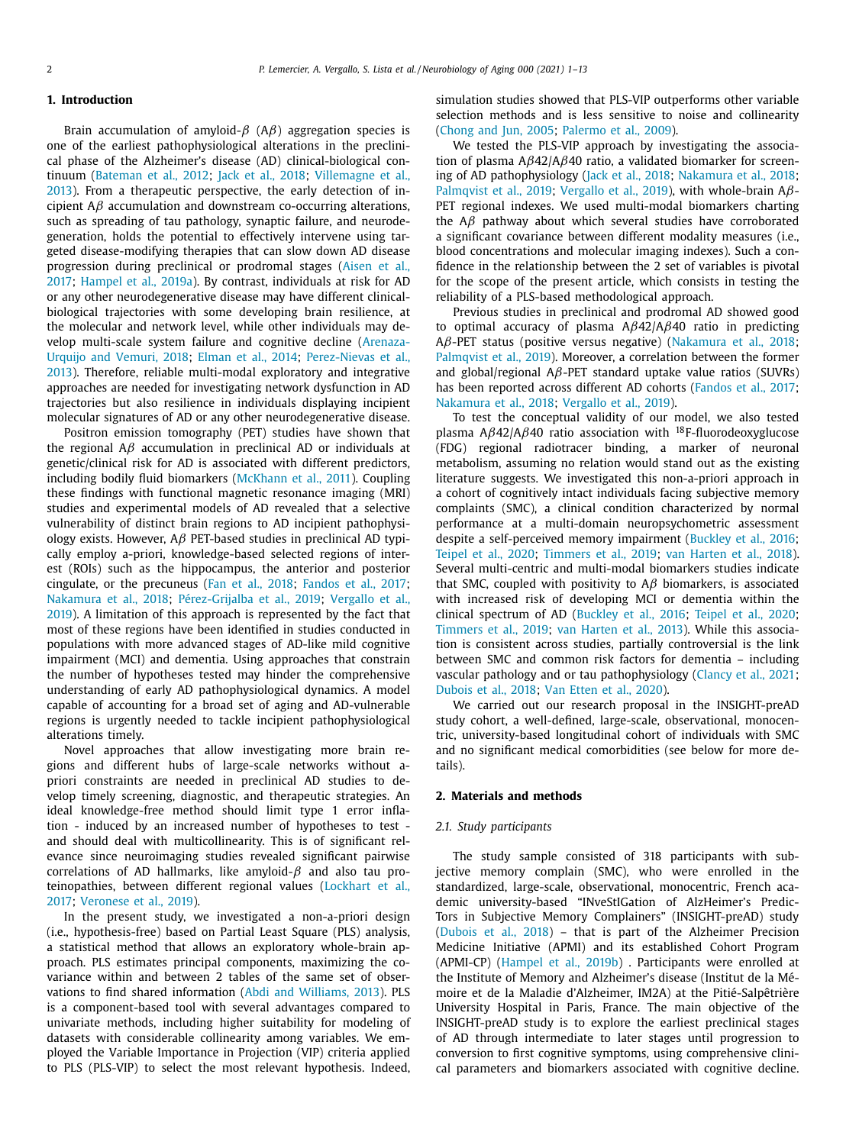## **1. Introduction**

Brain accumulation of amyloid- $\beta$  (A $\beta$ ) aggregation species is one of the earliest pathophysiological alterations in the preclinical phase of the Alzheimer's disease (AD) clinical-biological continuum [\(Bateman](#page-11-0) et al., 2012; Jack et al., [2018;](#page-11-0) Villemagne et al., 2013). From a therapeutic [perspective,](#page-12-0) the early detection of incipient  $A\beta$  accumulation and downstream co-occurring alterations, such as spreading of tau pathology, synaptic failure, and neurodegeneration, holds the potential to effectively intervene using targeted disease-modifying therapies that can slow down AD disease [progression](#page-10-0) during preclinical or prodromal stages (Aisen et al., 2017; [Hampel](#page-11-0) et al., 2019a). By contrast, individuals at risk for AD or any other neurodegenerative disease may have different clinicalbiological trajectories with some developing brain resilience, at the molecular and network level, while other individuals may develop multi-scale system failure and cognitive decline (Arenaza-Urquijo and Vemuri, 2018; [Elman](#page-11-0) et al., 2014; [Perez-Nievas](#page-10-0) et al., 2013). Therefore, reliable multi-modal exploratory and integrative approaches are needed for investigating network dysfunction in AD trajectories but also resilience in individuals displaying incipient molecular signatures of AD or any other neurodegenerative disease.

Positron emission tomography (PET) studies have shown that the regional  $A\beta$  accumulation in preclinical AD or individuals at genetic/clinical risk for AD is associated with different predictors, including bodily fluid biomarkers [\(McKhann](#page-12-0) et al., 2011). Coupling these findings with functional magnetic resonance imaging (MRI) studies and experimental models of AD revealed that a selective vulnerability of distinct brain regions to AD incipient pathophysiology exists. However,  $A\beta$  PET-based studies in preclinical AD typically employ a-priori, knowledge-based selected regions of interest (ROIs) such as the hippocampus, the anterior and posterior cingulate, or the precuneus (Fan et al., [2018;](#page-11-0) [Fandos](#page-11-0) et al., 2017; [Nakamura](#page-12-0) et al., 2018; [Pérez-Grijalba](#page-12-0) et al., 2019; Vergallo et al., 2019). A limitation of this approach is represented by the fact that most of these regions have been identified in studies conducted in populations with more advanced stages of AD-like mild cognitive impairment (MCI) and dementia. Using approaches that constrain the number of hypotheses tested may hinder the comprehensive understanding of early AD pathophysiological dynamics. A model capable of accounting for a broad set of aging and AD-vulnerable regions is urgently needed to tackle incipient pathophysiological alterations timely.

Novel approaches that allow investigating more brain regions and different hubs of large-scale networks without apriori constraints are needed in preclinical AD studies to develop timely screening, diagnostic, and therapeutic strategies. An ideal knowledge-free method should limit type 1 error inflation - induced by an increased number of hypotheses to test and should deal with multicollinearity. This is of significant relevance since neuroimaging studies revealed significant pairwise correlations of AD hallmarks, like amyloid- $\beta$  and also tau pro[teinopathies,](#page-12-0) between different regional values (Lockhart et al., 2017; [Veronese](#page-12-0) et al., 2019).

In the present study, we investigated a non-a-priori design (i.e., hypothesis-free) based on Partial Least Square (PLS) analysis, a statistical method that allows an exploratory whole-brain approach. PLS estimates principal components, maximizing the covariance within and between 2 tables of the same set of observations to find shared information (Abdi and [Williams,](#page-10-0) 2013). PLS is a component-based tool with several advantages compared to univariate methods, including higher suitability for modeling of datasets with considerable collinearity among variables. We employed the Variable Importance in Projection (VIP) criteria applied to PLS (PLS-VIP) to select the most relevant hypothesis. Indeed, simulation studies showed that PLS-VIP outperforms other variable selection methods and is less sensitive to noise and collinearity [\(Chong](#page-11-0) and Jun, 2005; [Palermo](#page-12-0) et al., 2009).

We tested the PLS-VIP approach by investigating the association of plasma  $A\beta$ 42/A $\beta$ 40 ratio, a validated biomarker for screening of AD pathophysiology (Jack et al., [2018;](#page-11-0) [Nakamura](#page-12-0) et al., 2018; [Palmqvist](#page-12-0) et al., 2019; [Vergallo](#page-12-0) et al., 2019), with whole-brain  $A\beta$ -PET regional indexes. We used multi-modal biomarkers charting the  $A\beta$  pathway about which several studies have corroborated a significant covariance between different modality measures (i.e., blood concentrations and molecular imaging indexes). Such a confidence in the relationship between the 2 set of variables is pivotal for the scope of the present article, which consists in testing the reliability of a PLS-based methodological approach.

Previous studies in preclinical and prodromal AD showed good to optimal accuracy of plasma  $A\beta$ 42/A $\beta$ 40 ratio in predicting Aβ-PET status (positive versus negative) [\(Nakamura](#page-12-0) et al., 2018; [Palmqvist](#page-12-0) et al., 2019). Moreover, a correlation between the former and global/regional A $\beta$ -PET standard uptake value ratios (SUVRs) has been reported across different AD cohorts [\(Fandos](#page-11-0) et al., 2017; [Nakamura](#page-12-0) et al., 2018; [Vergallo](#page-12-0) et al., 2019).

To test the conceptual validity of our model, we also tested plasma Aβ42/Aβ40 ratio association with <sup>18</sup>F-fluorodeoxyglucose (FDG) regional radiotracer binding, a marker of neuronal metabolism, assuming no relation would stand out as the existing literature suggests. We investigated this non-a-priori approach in a cohort of cognitively intact individuals facing subjective memory complaints (SMC), a clinical condition characterized by normal performance at a multi-domain neuropsychometric assessment despite a self-perceived memory impairment [\(Buckley](#page-11-0) et al., 2016; [Teipel](#page-12-0) et al., 2020; [Timmers](#page-12-0) et al., 2019; van [Harten](#page-12-0) et al., 2018). Several multi-centric and multi-modal biomarkers studies indicate that SMC, coupled with positivity to  $A\beta$  biomarkers, is associated with increased risk of developing MCI or dementia within the clinical spectrum of AD [\(Buckley](#page-11-0) et al., 2016; [Teipel](#page-12-0) et al., 2020; [Timmers](#page-12-0) et al., 2019; van [Harten](#page-12-0) et al., 2013). While this association is consistent across studies, partially controversial is the link between SMC and common risk factors for dementia – including vascular pathology and or tau pathophysiology [\(Clancy](#page-11-0) et al., 2021; [Dubois](#page-11-0) et al., 2018; Van [Etten](#page-12-0) et al., 2020).

We carried out our research proposal in the INSIGHT-preAD study cohort, a well-defined, large-scale, observational, monocentric, university-based longitudinal cohort of individuals with SMC and no significant medical comorbidities (see below for more details).

## **2. Materials and methods**

## *2.1. Study participants*

The study sample consisted of 318 participants with subjective memory complain (SMC), who were enrolled in the standardized, large-scale, observational, monocentric, French academic university-based "INveStIGation of AlzHeimer's Predic-Tors in Subjective Memory Complainers" (INSIGHT-preAD) study [\(Dubois](#page-11-0) et al., 2018) – that is part of the Alzheimer Precision Medicine Initiative (APMI) and its established Cohort Program (APMI-CP) [\(Hampel](#page-11-0) et al., 2019b) . Participants were enrolled at the Institute of Memory and Alzheimer's disease (Institut de la Mémoire et de la Maladie d'Alzheimer, IM2A) at the Pitié-Salpêtrière University Hospital in Paris, France. The main objective of the INSIGHT-preAD study is to explore the earliest preclinical stages of AD through intermediate to later stages until progression to conversion to first cognitive symptoms, using comprehensive clinical parameters and biomarkers associated with cognitive decline.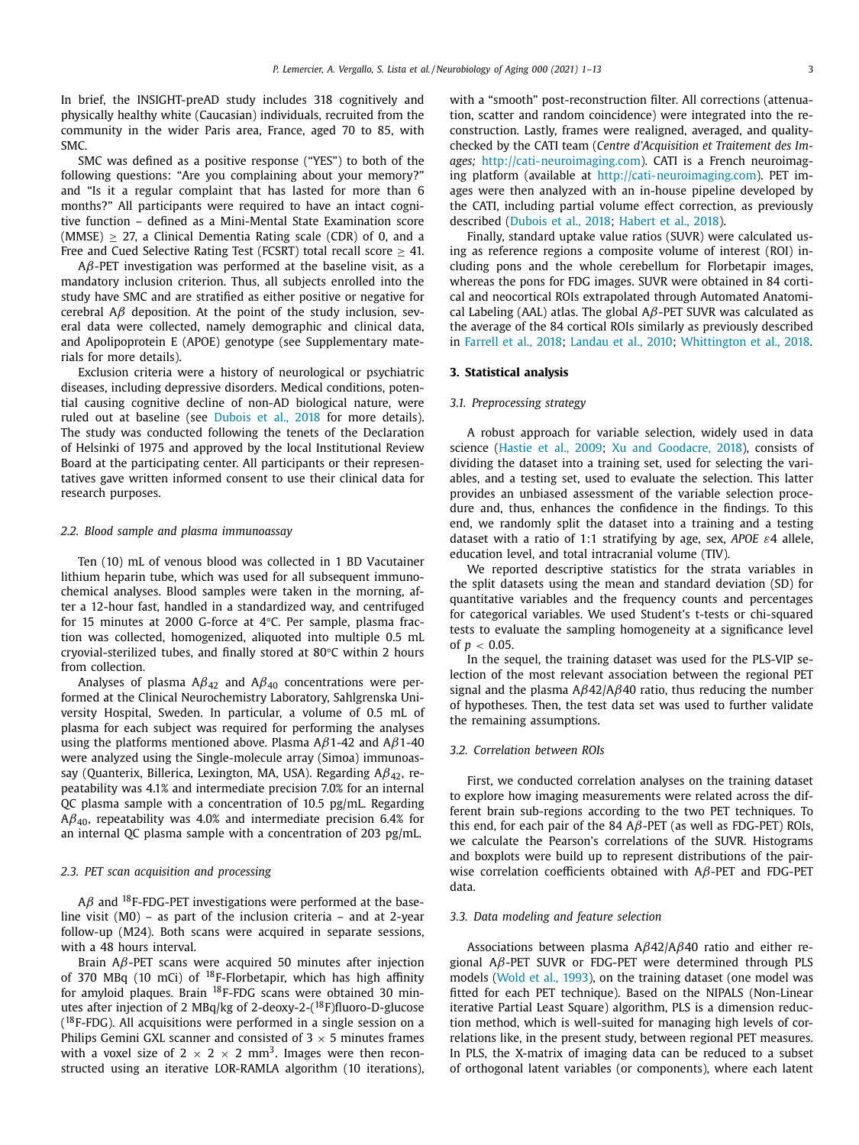In brief, the INSIGHT-preAD study includes 318 cognitively and physically healthy white (Caucasian) individuals, recruited from the community in the wider Paris area, France, aged 70 to 85, with SMC.

SMC was defined as a positive response ("YES") to both of the following questions: "Are you complaining about your memory?" and "Is it a regular complaint that has lasted for more than 6 months?" All participants were required to have an intact cognitive function – defined as a Mini-Mental State Examination score (MMSE)  $\geq$  27, a Clinical Dementia Rating scale (CDR) of 0, and a Free and Cued Selective Rating Test (FCSRT) total recall score  $\geq$  41.

 $A\beta$ -PET investigation was performed at the baseline visit, as a mandatory inclusion criterion. Thus, all subjects enrolled into the study have SMC and are stratified as either positive or negative for cerebral  $A\beta$  deposition. At the point of the study inclusion, several data were collected, namely demographic and clinical data, and Apolipoprotein E (APOE) genotype (see Supplementary materials for more details).

Exclusion criteria were a history of neurological or psychiatric diseases, including depressive disorders. Medical conditions, potential causing cognitive decline of non-AD biological nature, were ruled out at baseline (see [Dubois](#page-11-0) et al., 2018 for more details). The study was conducted following the tenets of the Declaration of Helsinki of 1975 and approved by the local Institutional Review Board at the participating center. All participants or their representatives gave written informed consent to use their clinical data for research purposes.

## *2.2. Blood sample and plasma immunoassay*

Ten (10) mL of venous blood was collected in 1 BD Vacutainer lithium heparin tube, which was used for all subsequent immunochemical analyses. Blood samples were taken in the morning, after a 12-hour fast, handled in a standardized way, and centrifuged for 15 minutes at 2000 G-force at 4°C. Per sample, plasma fraction was collected, homogenized, aliquoted into multiple 0.5 mL cryovial-sterilized tubes, and finally stored at 80°C within 2 hours from collection.

Analyses of plasma  $A\beta_{42}$  and  $A\beta_{40}$  concentrations were performed at the Clinical Neurochemistry Laboratory, Sahlgrenska University Hospital, Sweden. In particular, a volume of 0.5 mL of plasma for each subject was required for performing the analyses using the platforms mentioned above. Plasma  $A\beta$ 1-42 and  $A\beta$ 1-40 were analyzed using the Single-molecule array (Simoa) immunoassay (Quanterix, Billerica, Lexington, MA, USA). Regarding  $A\beta_{42}$ , repeatability was 4.1% and intermediate precision 7.0% for an internal QC plasma sample with a concentration of 10.5 pg/mL. Regarding  $A\beta_{40}$ , repeatability was 4.0% and intermediate precision 6.4% for an internal QC plasma sample with a concentration of 203 pg/mL.

## *2.3. PET scan acquisition and processing*

 $A\beta$  and <sup>18</sup>F-FDG-PET investigations were performed at the baseline visit (M0) – as part of the inclusion criteria – and at 2-year follow-up (M24). Both scans were acquired in separate sessions, with a 48 hours interval.

Brain Aβ-PET scans were acquired 50 minutes after injection of 370 MBq (10 mCi) of <sup>18</sup>F-Florbetapir, which has high affinity for amyloid plaques. Brain 18F-FDG scans were obtained 30 minutes after injection of 2 MBq/kg of 2-deoxy-2-(<sup>18</sup>F)fluoro-D-glucose  $(18F-FDG)$ . All acquisitions were performed in a single session on a Philips Gemini GXL scanner and consisted of  $3 \times 5$  minutes frames with a voxel size of  $2 \times 2 \times 2$  mm<sup>3</sup>. Images were then reconstructed using an iterative LOR-RAMLA algorithm (10 iterations), with a "smooth" post-reconstruction filter. All corrections (attenuation, scatter and random coincidence) were integrated into the reconstruction. Lastly, frames were realigned, averaged, and qualitychecked by the CATI team (*Centre d'Acquisition et Traitement des Images;* [http://cati-neuroimaging.com\)](http://cati-neuroimaging.com). CATI is a French neuroimaging platform (available at [http://cati-neuroimaging.com\)](http://cati-neuroimaging.com). PET images were then analyzed with an in-house pipeline developed by the CATI, including partial volume effect correction, as previously described [\(Dubois](#page-11-0) et al., 2018; [Habert](#page-11-0) et al., 2018).

Finally, standard uptake value ratios (SUVR) were calculated using as reference regions a composite volume of interest (ROI) including pons and the whole cerebellum for Florbetapir images, whereas the pons for FDG images. SUVR were obtained in 84 cortical and neocortical ROIs extrapolated through Automated Anatomical Labeling (AAL) atlas. The global A $\beta$ -PET SUVR was calculated as the average of the 84 cortical ROIs similarly as previously described in [Farrell](#page-11-0) et al., 2018; [Landau](#page-11-0) et al., 2010; [Whittington](#page-12-0) et al., 2018.

#### **3. Statistical analysis**

# *3.1. Preprocessing strategy*

A robust approach for variable selection, widely used in data science [\(Hastie](#page-11-0) et al., 2009; Xu and [Goodacre,](#page-12-0) 2018), consists of dividing the dataset into a training set, used for selecting the variables, and a testing set, used to evaluate the selection. This latter provides an unbiased assessment of the variable selection procedure and, thus, enhances the confidence in the findings. To this end, we randomly split the dataset into a training and a testing dataset with a ratio of 1:1 stratifying by age, sex, *APOE* ε4 allele, education level, and total intracranial volume (TIV).

We reported descriptive statistics for the strata variables in the split datasets using the mean and standard deviation (SD) for quantitative variables and the frequency counts and percentages for categorical variables. We used Student's t-tests or chi-squared tests to evaluate the sampling homogeneity at a significance level of  $p < 0.05$ .

In the sequel, the training dataset was used for the PLS-VIP selection of the most relevant association between the regional PET signal and the plasma  $A\beta$ 42/A $\beta$ 40 ratio, thus reducing the number of hypotheses. Then, the test data set was used to further validate the remaining assumptions.

#### *3.2. Correlation between ROIs*

First, we conducted correlation analyses on the training dataset to explore how imaging measurements were related across the different brain sub-regions according to the two PET techniques. To this end, for each pair of the 84 A $\beta$ -PET (as well as FDG-PET) ROIs, we calculate the Pearson's correlations of the SUVR. Histograms and boxplots were build up to represent distributions of the pairwise correlation coefficients obtained with  $A\beta$ -PET and FDG-PET data.

#### *3.3. Data modeling and feature selection*

Associations between plasma Aβ42/Aβ40 ratio and either regional Aβ-PET SUVR or FDG-PET were determined through PLS models [\(Wold](#page-12-0) et al., 1993), on the training dataset (one model was fitted for each PET technique). Based on the NIPALS (Non-Linear iterative Partial Least Square) algorithm, PLS is a dimension reduction method, which is well-suited for managing high levels of correlations like, in the present study, between regional PET measures. In PLS, the X-matrix of imaging data can be reduced to a subset of orthogonal latent variables (or components), where each latent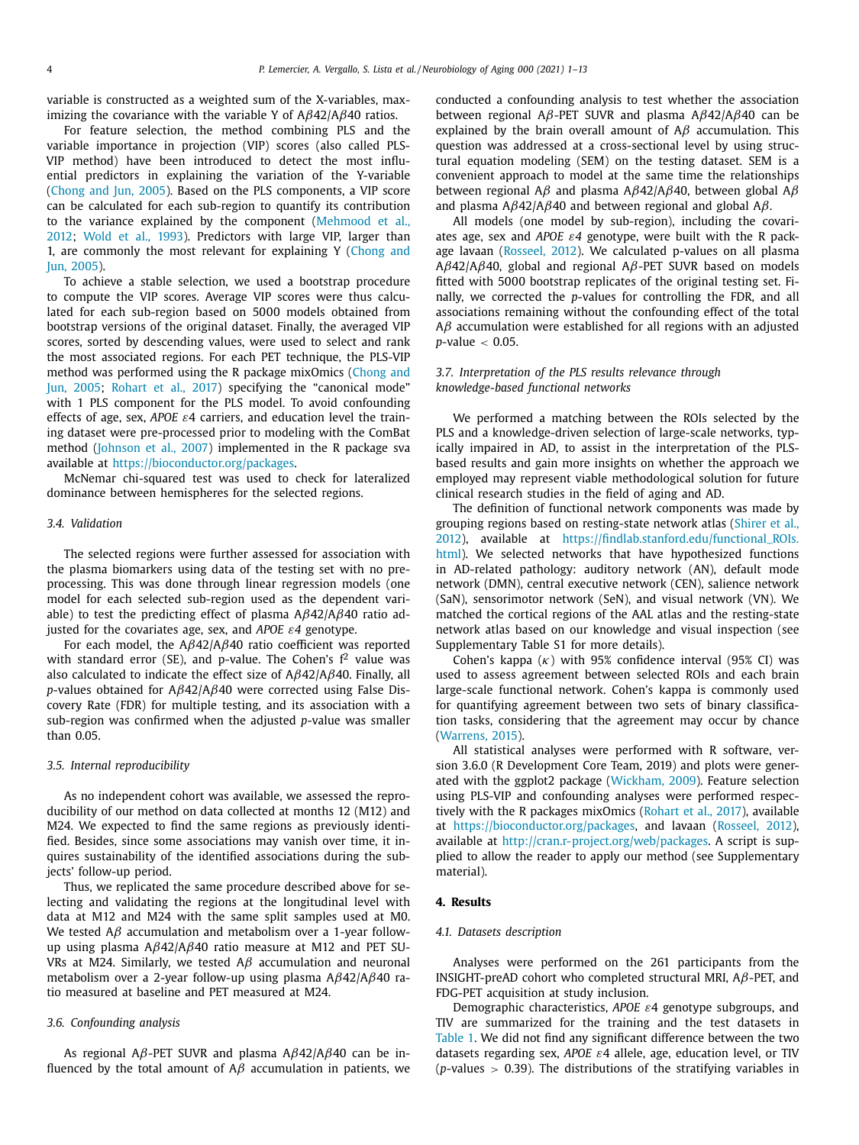variable is constructed as a weighted sum of the X-variables, maximizing the covariance with the variable Y of  $A\beta$ 42/A $\beta$ 40 ratios.

For feature selection, the method combining PLS and the variable importance in projection (VIP) scores (also called PLS-VIP method) have been introduced to detect the most influential predictors in explaining the variation of the Y-variable [\(Chong](#page-11-0) and Jun, 2005). Based on the PLS components, a VIP score can be calculated for each sub-region to quantify its contribution to the variance explained by the [component](#page-12-0) (Mehmood et al., 2012; [Wold](#page-12-0) et al., 1993). Predictors with large VIP, larger than 1, are [commonly](#page-11-0) the most relevant for explaining Y (Chong and Jun, 2005).

To achieve a stable selection, we used a bootstrap procedure to compute the VIP scores. Average VIP scores were thus calculated for each sub-region based on 5000 models obtained from bootstrap versions of the original dataset. Finally, the averaged VIP scores, sorted by descending values, were used to select and rank the most associated regions. For each PET technique, the PLS-VIP method was [performed](#page-11-0) using the R package mixOmics (Chong and Jun, 2005; [Rohart](#page-12-0) et al., 2017) specifying the "canonical mode" with 1 PLS component for the PLS model. To avoid confounding effects of age, sex, *APOE* ε4 carriers, and education level the training dataset were pre-processed prior to modeling with the ComBat method [\(Johnson](#page-11-0) et al., 2007) implemented in the R package sva available at [https://bioconductor.org/packages.](https://bioconductor.org/packages)

McNemar chi-squared test was used to check for lateralized dominance between hemispheres for the selected regions.

## *3.4. Validation*

The selected regions were further assessed for association with the plasma biomarkers using data of the testing set with no preprocessing. This was done through linear regression models (one model for each selected sub-region used as the dependent variable) to test the predicting effect of plasma  $A\beta$ 42/A $\beta$ 40 ratio adjusted for the covariates age, sex, and *APOE* ε*4* genotype.

For each model, the  $A\beta$ 42/A $\beta$ 40 ratio coefficient was reported with standard error (SE), and p-value. The Cohen's  $f^2$  value was also calculated to indicate the effect size of  $A\beta$ 42/A $\beta$ 40. Finally, all *p*-values obtained for Aβ42/Aβ40 were corrected using False Discovery Rate (FDR) for multiple testing, and its association with a sub-region was confirmed when the adjusted *p*-value was smaller than 0.05.

#### *3.5. Internal reproducibility*

As no independent cohort was available, we assessed the reproducibility of our method on data collected at months 12 (M12) and M24. We expected to find the same regions as previously identified. Besides, since some associations may vanish over time, it inquires sustainability of the identified associations during the subjects' follow-up period.

Thus, we replicated the same procedure described above for selecting and validating the regions at the longitudinal level with data at M12 and M24 with the same split samples used at M0. We tested  $A\beta$  accumulation and metabolism over a 1-year followup using plasma  $A\beta$ 42/A $\beta$ 40 ratio measure at M12 and PET SU-VRs at M24. Similarly, we tested  $A\beta$  accumulation and neuronal metabolism over a 2-year follow-up using plasma Aβ42/Aβ40 ratio measured at baseline and PET measured at M24.

# *3.6. Confounding analysis*

As regional Aβ-PET SUVR and plasma Aβ42/Aβ40 can be influenced by the total amount of  $A\beta$  accumulation in patients, we conducted a confounding analysis to test whether the association between regional A $\beta$ -PET SUVR and plasma A $\beta$ 42/A $\beta$ 40 can be explained by the brain overall amount of  $A\beta$  accumulation. This question was addressed at a cross-sectional level by using structural equation modeling (SEM) on the testing dataset. SEM is a convenient approach to model at the same time the relationships between regional A $\beta$  and plasma A $\beta$ 42/A $\beta$ 40, between global A $\beta$ and plasma  $A\beta$ 42/A $\beta$ 40 and between regional and global A $\beta$ .

All models (one model by sub-region), including the covariates age, sex and *APOE* ε*4* genotype, were built with the R package lavaan [\(Rosseel,](#page-12-0) 2012). We calculated p-values on all plasma  $A\beta$ 42/A $\beta$ 40, global and regional A $\beta$ -PET SUVR based on models fitted with 5000 bootstrap replicates of the original testing set. Finally, we corrected the *p*-values for controlling the FDR, and all associations remaining without the confounding effect of the total  $A\beta$  accumulation were established for all regions with an adjusted *p*-value < 0.05.

# *3.7. Interpretation of the PLS results relevance through knowledge-based functional networks*

We performed a matching between the ROIs selected by the PLS and a knowledge-driven selection of large-scale networks, typically impaired in AD, to assist in the interpretation of the PLSbased results and gain more insights on whether the approach we employed may represent viable methodological solution for future clinical research studies in the field of aging and AD.

The definition of functional network components was made by grouping regions based on resting-state network atlas (Shirer et al., 2012), available at [https://findlab.stanford.edu/functional\\_ROIs.](#page-12-0) html). We selected networks that have hypothesized functions in AD-related pathology: auditory network (AN), default mode network (DMN), central executive network (CEN), salience network (SaN), sensorimotor network (SeN), and visual network (VN). We matched the cortical regions of the AAL atlas and the resting-state network atlas based on our knowledge and visual inspection (see Supplementary Table S1 for more details).

Cohen's kappa  $(\kappa)$  with 95% confidence interval (95% CI) was used to assess agreement between selected ROIs and each brain large-scale functional network. Cohen's kappa is commonly used for quantifying agreement between two sets of binary classification tasks, considering that the agreement may occur by chance [\(Warrens,](#page-12-0) 2015).

All statistical analyses were performed with R software, version 3.6.0 (R Development Core Team, 2019) and plots were generated with the ggplot2 package [\(Wickham,](#page-12-0) 2009). Feature selection using PLS-VIP and confounding analyses were performed respectively with the R packages mixOmics [\(Rohart](#page-12-0) et al., 2017), available at [https://bioconductor.org/packages,](https://bioconductor.org/packages) and lavaan [\(Rosseel,](#page-12-0) 2012), available at [http://cran.r-project.org/web/packages.](http://cran.r-project.org/web/packages) A script is supplied to allow the reader to apply our method (see Supplementary material).

### **4. Results**

#### *4.1. Datasets description*

Analyses were performed on the 261 participants from the INSIGHT-preAD cohort who completed structural MRI,  $A\beta$ -PET, and FDG-PET acquisition at study inclusion.

Demographic characteristics, *APOE* ε4 genotype subgroups, and TIV are summarized for the training and the test datasets in [Table](#page-4-0) 1. We did not find any significant difference between the two datasets regarding sex, *APOE* ε4 allele, age, education level, or TIV ( $p$ -values  $> 0.39$ ). The distributions of the stratifying variables in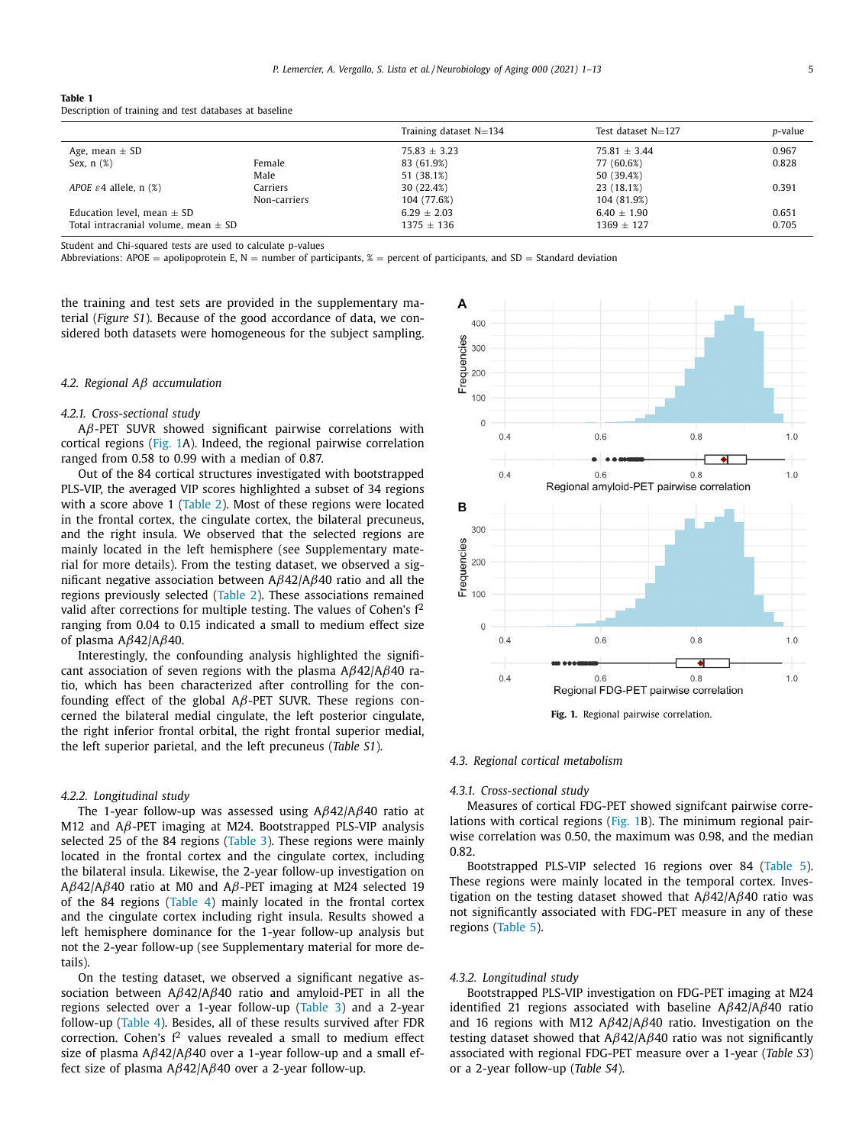|                                                        |              | Training dataset N=134 | Test dataset $N=127$ | p-value |
|--------------------------------------------------------|--------------|------------------------|----------------------|---------|
| Age, mean $\pm$ SD                                     |              | $75.83 \pm 3.23$       | $75.81 + 3.44$       | 0.967   |
| Sex, $n$ $(\%)$                                        | Female       | 83 (61.9%)             | 77 (60.6%)           | 0.828   |
|                                                        | Male         | 51 (38.1%)             | 50 (39.4%)           |         |
| <i>APOE <math>\varepsilon</math>4</i> allele, n $(\%)$ | Carriers     | 30 (22.4%)             | 23 (18.1%)           | 0.391   |
|                                                        | Non-carriers | 104 (77.6%)            | 104 (81.9%)          |         |
| Education level, mean $\pm$ SD                         |              | $6.29 \pm 2.03$        | $6.40 \pm 1.90$      | 0.651   |
| Total intracranial volume, mean $\pm$ SD               |              | $1375 \pm 136$         | $1369 \pm 127$       | 0.705   |
|                                                        |              |                        |                      |         |

Student and Chi-squared tests are used to calculate p-values

Abbreviations: APOE = apolipoprotein E, N = number of participants,  $\%$  = percent of participants, and SD = Standard deviation

the training and test sets are provided in the supplementary material (*Figure S1*). Because of the good accordance of data, we considered both datasets were homogeneous for the subject sampling.

## *4.2. Regional A*β *accumulation*

## *4.2.1. Cross-sectional study*

<span id="page-4-0"></span>**Table 1**

Aβ-PET SUVR showed significant pairwise correlations with cortical regions (Fig. 1A). Indeed, the regional pairwise correlation ranged from 0.58 to 0.99 with a median of 0.87.

Out of the 84 cortical structures investigated with bootstrapped PLS-VIP, the averaged VIP scores highlighted a subset of 34 regions with a score above 1 [\(Table](#page-5-0) 2). Most of these regions were located in the frontal cortex, the cingulate cortex, the bilateral precuneus, and the right insula. We observed that the selected regions are mainly located in the left hemisphere (see Supplementary material for more details). From the testing dataset, we observed a significant negative association between  $A\beta 42/A\beta 40$  ratio and all the regions previously selected [\(Table](#page-5-0) 2). These associations remained valid after corrections for multiple testing. The values of Cohen's  $f<sup>2</sup>$ ranging from 0.04 to 0.15 indicated a small to medium effect size of plasma  $A\beta$ 42/A $\beta$ 40.

Interestingly, the confounding analysis highlighted the significant association of seven regions with the plasma  $A\beta$ 42/A $\beta$ 40 ratio, which has been characterized after controlling for the confounding effect of the global  $A\beta$ -PET SUVR. These regions concerned the bilateral medial cingulate, the left posterior cingulate, the right inferior frontal orbital, the right frontal superior medial, the left superior parietal, and the left precuneus (*Table S1*).

#### *4.2.2. Longitudinal study*

The 1-year follow-up was assessed using  $A\beta$ 42/A $\beta$ 40 ratio at M12 and  $A\beta$ -PET imaging at M24. Bootstrapped PLS-VIP analysis selected 25 of the 84 regions [\(Table](#page-5-0) 3). These regions were mainly located in the frontal cortex and the cingulate cortex, including the bilateral insula. Likewise, the 2-year follow-up investigation on  $A\beta$ 42/A $\beta$ 40 ratio at M0 and A $\beta$ -PET imaging at M24 selected 19 of the 84 regions [\(Table](#page-6-0) 4) mainly located in the frontal cortex and the cingulate cortex including right insula. Results showed a left hemisphere dominance for the 1-year follow-up analysis but not the 2-year follow-up (see Supplementary material for more details).

On the testing dataset, we observed a significant negative association between Aβ42/Aβ40 ratio and amyloid-PET in all the regions selected over a 1-year follow-up [\(Table](#page-5-0) 3) and a 2-year follow-up [\(Table](#page-6-0) 4). Besides, all of these results survived after FDR correction. Cohen's  $f^2$  values revealed a small to medium effect size of plasma  $A\beta$ 42/A $\beta$ 40 over a 1-year follow-up and a small effect size of plasma Aβ42/Aβ40 over a 2-year follow-up.



**Fig. 1.** Regional pairwise correlation.

## *4.3. Regional cortical metabolism*

#### *4.3.1. Cross-sectional study*

Measures of cortical FDG-PET showed signifcant pairwise correlations with cortical regions (Fig. 1B). The minimum regional pairwise correlation was 0.50, the maximum was 0.98, and the median 0.82.

Bootstrapped PLS-VIP selected 16 regions over 84 [\(Table](#page-6-0) 5). These regions were mainly located in the temporal cortex. Investigation on the testing dataset showed that  $A\beta 42/A\beta 40$  ratio was not significantly associated with FDG-PET measure in any of these regions [\(Table](#page-6-0) 5).

## *4.3.2. Longitudinal study*

Bootstrapped PLS-VIP investigation on FDG-PET imaging at M24 identified 21 regions associated with baseline  $A\beta 42/A\beta 40$  ratio and 16 regions with M12  $A\beta$ 42/A $\beta$ 40 ratio. Investigation on the testing dataset showed that  $A\beta 42/A\beta 40$  ratio was not significantly associated with regional FDG-PET measure over a 1-year (*Table S3*) or a 2-year follow-up (*Table S4*).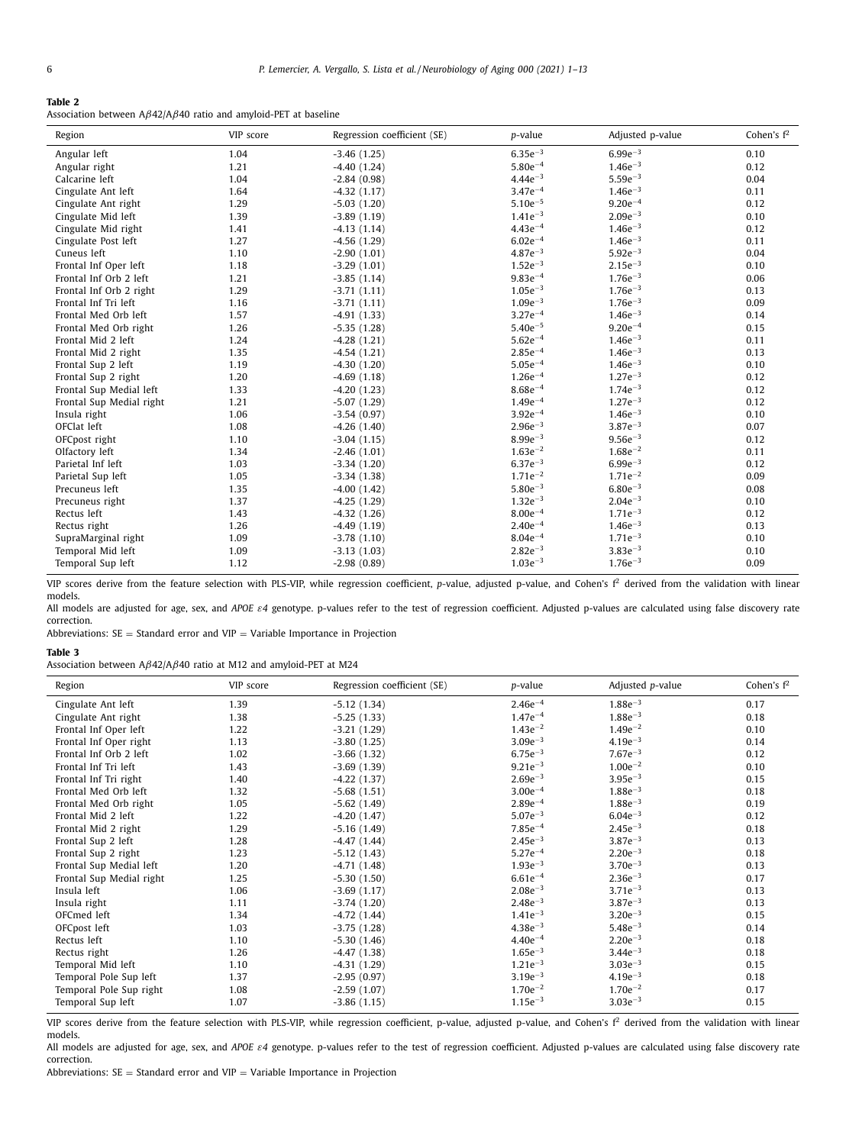## <span id="page-5-0"></span>**Table 2**

Association between  $A\beta 42/A\beta 40$  ratio and amyloid-PET at baseline

| Region                   | VIP score | Regression coefficient (SE) | p-value      | Adjusted p-value | Cohen's $f^2$ |
|--------------------------|-----------|-----------------------------|--------------|------------------|---------------|
| Angular left             | 1.04      | $-3.46(1.25)$               | $6.35e^{-3}$ | $6.99e^{-3}$     | 0.10          |
| Angular right            | 1.21      | $-4.40(1.24)$               | $5.80e^{-4}$ | $1.46e^{-3}$     | 0.12          |
| Calcarine left           | 1.04      | $-2.84(0.98)$               | $4.44e^{-3}$ | $5.59e^{-3}$     | 0.04          |
| Cingulate Ant left       | 1.64      | $-4.32(1.17)$               | $3.47e^{-4}$ | $1.46e^{-3}$     | 0.11          |
| Cingulate Ant right      | 1.29      | $-5.03(1.20)$               | $5.10e^{-5}$ | $9.20e^{-4}$     | 0.12          |
| Cingulate Mid left       | 1.39      | $-3.89(1.19)$               | $1.41e^{-3}$ | $2.09e^{-3}$     | 0.10          |
| Cingulate Mid right      | 1.41      | $-4.13(1.14)$               | $4.43e^{-4}$ | $1.46e^{-3}$     | 0.12          |
| Cingulate Post left      | 1.27      | $-4.56(1.29)$               | $6.02e^{-4}$ | $1.46e^{-3}$     | 0.11          |
| Cuneus left              | 1.10      | $-2.90(1.01)$               | $4.87e^{-3}$ | $5.92e^{-3}$     | 0.04          |
| Frontal Inf Oper left    | 1.18      | $-3.29(1.01)$               | $1.52e^{-3}$ | $2.15e^{-3}$     | 0.10          |
| Frontal Inf Orb 2 left   | 1.21      | $-3.85(1.14)$               | $9.83e^{-4}$ | $1.76e^{-3}$     | 0.06          |
| Frontal Inf Orb 2 right  | 1.29      | $-3.71(1.11)$               | $1.05e^{-3}$ | $1.76e^{-3}$     | 0.13          |
| Frontal Inf Tri left     | 1.16      | $-3.71(1.11)$               | $1.09e^{-3}$ | $1.76e^{-3}$     | 0.09          |
| Frontal Med Orb left     | 1.57      | $-4.91(1.33)$               | $3.27e^{-4}$ | $1.46e^{-3}$     | 0.14          |
| Frontal Med Orb right    | 1.26      | $-5.35(1.28)$               | $5.40e^{-5}$ | $9.20e^{-4}$     | 0.15          |
| Frontal Mid 2 left       | 1.24      | $-4.28(1.21)$               | $5.62e^{-4}$ | $1.46e^{-3}$     | 0.11          |
| Frontal Mid 2 right      | 1.35      | $-4.54(1.21)$               | $2.85e^{-4}$ | $1.46e^{-3}$     | 0.13          |
| Frontal Sup 2 left       | 1.19      | $-4.30(1.20)$               | $5.05e^{-4}$ | $1.46e^{-3}$     | 0.10          |
| Frontal Sup 2 right      | 1.20      | $-4.69(1.18)$               | $1.26e^{-4}$ | $1.27e^{-3}$     | 0.12          |
| Frontal Sup Medial left  | 1.33      | $-4.20(1.23)$               | $8.68e^{-4}$ | $1.74e^{-3}$     | 0.12          |
| Frontal Sup Medial right | 1.21      | $-5.07(1.29)$               | $1.49e^{-4}$ | $1.27e^{-3}$     | 0.12          |
| Insula right             | 1.06      | $-3.54(0.97)$               | $3.92e^{-4}$ | $1.46e^{-3}$     | 0.10          |
| OFClat left              | 1.08      | $-4.26(1.40)$               | $2.96e^{-3}$ | $3.87e^{-3}$     | 0.07          |
| OFCpost right            | 1.10      | $-3.04(1.15)$               | $8.99e^{-3}$ | $9.56e^{-3}$     | 0.12          |
| Olfactory left           | 1.34      | $-2.46(1.01)$               | $1.63e^{-2}$ | $1.68e^{-2}$     | 0.11          |
| Parietal Inf left        | 1.03      | $-3.34(1.20)$               | $6.37e^{-3}$ | $6.99e^{-3}$     | 0.12          |
| Parietal Sup left        | 1.05      | $-3.34(1.38)$               | $1.71e^{-2}$ | $1.71e^{-2}$     | 0.09          |
| Precuneus left           | 1.35      | $-4.00(1.42)$               | $5.80e^{-3}$ | $6.80e^{-3}$     | 0.08          |
| Precuneus right          | 1.37      | $-4.25(1.29)$               | $1.32e^{-3}$ | $2.04e^{-3}$     | 0.10          |
| Rectus left              | 1.43      | $-4.32(1.26)$               | $8.00e^{-4}$ | $1.71e^{-3}$     | 0.12          |
| Rectus right             | 1.26      | $-4.49(1.19)$               | $2.40e^{-4}$ | $1.46e^{-3}$     | 0.13          |
| SupraMarginal right      | 1.09      | $-3.78(1.10)$               | $8.04e^{-4}$ | $1.71e^{-3}$     | 0.10          |
| Temporal Mid left        | 1.09      | $-3.13(1.03)$               | $2.82e^{-3}$ | $3.83e^{-3}$     | 0.10          |
| Temporal Sup left        | 1.12      | $-2.98(0.89)$               | $1.03e^{-3}$ | $1.76e^{-3}$     | 0.09          |

VIP scores derive from the feature selection with PLS-VIP, while regression coefficient, *p*-value, adjusted p-value, and Cohen's f <sup>2</sup> derived from the validation with linear models.

All models are adjusted for age, sex, and *APOE* ε*4* genotype. p-values refer to the test of regression coefficient. Adjusted p-values are calculated using false discovery rate correction.

Abbreviations:  $SE = Standard$  error and  $VIP = Variable$  Importance in Projection

## **Table 3**

Association between Aβ42/Aβ40 ratio at M12 and amyloid-PET at M24

| Region                   | VIP score | Regression coefficient (SE) | p-value      | Adjusted p-value | Cohen's $f^2$ |
|--------------------------|-----------|-----------------------------|--------------|------------------|---------------|
| Cingulate Ant left       | 1.39      | $-5.12(1.34)$               | $2.46e^{-4}$ | $1.88e^{-3}$     | 0.17          |
| Cingulate Ant right      | 1.38      | $-5.25(1.33)$               | $1.47e^{-4}$ | $1.88e^{-3}$     | 0.18          |
| Frontal Inf Oper left    | 1.22      | $-3.21(1.29)$               | $1.43e^{-2}$ | $1.49e^{-2}$     | 0.10          |
| Frontal Inf Oper right   | 1.13      | $-3.80(1.25)$               | $3.09e^{-3}$ | $4.19e^{-3}$     | 0.14          |
| Frontal Inf Orb 2 left   | 1.02      | $-3.66(1.32)$               | $6.75e^{-3}$ | $7.67e^{-3}$     | 0.12          |
| Frontal Inf Tri left     | 1.43      | $-3.69(1.39)$               | $9.21e^{-3}$ | $1.00e^{-2}$     | 0.10          |
| Frontal Inf Tri right    | 1.40      | $-4.22(1.37)$               | $2.69e^{-3}$ | $3.95e^{-3}$     | 0.15          |
| Frontal Med Orb left     | 1.32      | $-5.68(1.51)$               | $3.00e^{-4}$ | $1.88e^{-3}$     | 0.18          |
| Frontal Med Orb right    | 1.05      | $-5.62(1.49)$               | $2.89e^{-4}$ | $1.88e^{-3}$     | 0.19          |
| Frontal Mid 2 left       | 1.22      | $-4.20(1.47)$               | $5.07e^{-3}$ | $6.04e^{-3}$     | 0.12          |
| Frontal Mid 2 right      | 1.29      | $-5.16(1.49)$               | $7.85e^{-4}$ | $2.45e^{-3}$     | 0.18          |
| Frontal Sup 2 left       | 1.28      | $-4.47(1.44)$               | $2.45e^{-3}$ | $3.87e^{-3}$     | 0.13          |
| Frontal Sup 2 right      | 1.23      | $-5.12(1.43)$               | $5.27e^{-4}$ | $2.20e^{-3}$     | 0.18          |
| Frontal Sup Medial left  | 1.20      | $-4.71(1.48)$               | $1.93e^{-3}$ | $3.70e^{-3}$     | 0.13          |
| Frontal Sup Medial right | 1.25      | $-5.30(1.50)$               | $6.61e^{-4}$ | $2.36e^{-3}$     | 0.17          |
| Insula left              | 1.06      | $-3.69(1.17)$               | $2.08e^{-3}$ | $3.71e^{-3}$     | 0.13          |
| Insula right             | 1.11      | $-3.74(1.20)$               | $2.48e^{-3}$ | $3.87e^{-3}$     | 0.13          |
| OFCmed left              | 1.34      | $-4.72(1.44)$               | $1.41e^{-3}$ | $3.20e^{-3}$     | 0.15          |
| OFCpost left             | 1.03      | $-3.75(1.28)$               | $4.38e^{-3}$ | $5.48e^{-3}$     | 0.14          |
| Rectus left              | 1.10      | $-5.30(1.46)$               | $4.40e^{-4}$ | $2.20e^{-3}$     | 0.18          |
| Rectus right             | 1.26      | $-4.47(1.38)$               | $1.65e^{-3}$ | $3.44e^{-3}$     | 0.18          |
| Temporal Mid left        | 1.10      | $-4.31(1.29)$               | $1.21e^{-3}$ | $3.03e^{-3}$     | 0.15          |
| Temporal Pole Sup left   | 1.37      | $-2.95(0.97)$               | $3.19e^{-3}$ | $4.19e^{-3}$     | 0.18          |
| Temporal Pole Sup right  | 1.08      | $-2.59(1.07)$               | $1.70e^{-2}$ | $1.70e^{-2}$     | 0.17          |
| Temporal Sup left        | 1.07      | $-3.86(1.15)$               | $1.15e^{-3}$ | $3.03e^{-3}$     | 0.15          |

VIP scores derive from the feature selection with PLS-VIP, while regression coefficient, p-value, adjusted p-value, and Cohen's f<sup>2</sup> derived from the validation with linear models.

All models are adjusted for age, sex, and *APOE* ε*4* genotype. p-values refer to the test of regression coefficient. Adjusted p-values are calculated using false discovery rate correction.

Abbreviations:  $SE = Standard$  error and  $VIP = Variable$  Importance in Projection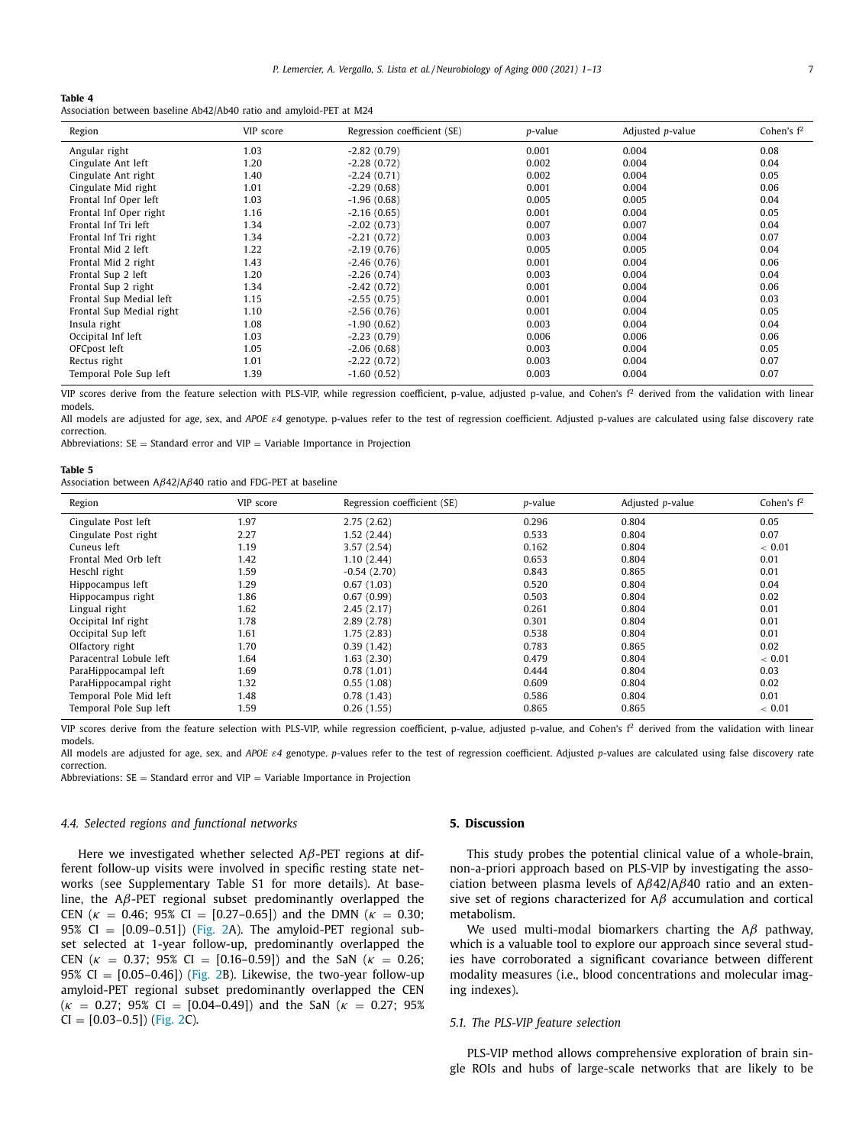<span id="page-6-0"></span>

| ۹<br>٠ |  |
|--------|--|
|--------|--|

Association between baseline Ab42/Ab40 ratio and amyloid-PET at M24

| Region                   | VIP score | Regression coefficient (SE) | <i>p</i> -value | Adjusted p-value | Cohen's $f^2$ |
|--------------------------|-----------|-----------------------------|-----------------|------------------|---------------|
| Angular right            | 1.03      | $-2.82(0.79)$               | 0.001           | 0.004            | 0.08          |
| Cingulate Ant left       | 1.20      | $-2.28(0.72)$               | 0.002           | 0.004            | 0.04          |
| Cingulate Ant right      | 1.40      | $-2.24(0.71)$               | 0.002           | 0.004            | 0.05          |
| Cingulate Mid right      | 1.01      | $-2.29(0.68)$               | 0.001           | 0.004            | 0.06          |
| Frontal Inf Oper left    | 1.03      | $-1.96(0.68)$               | 0.005           | 0.005            | 0.04          |
| Frontal Inf Oper right   | 1.16      | $-2.16(0.65)$               | 0.001           | 0.004            | 0.05          |
| Frontal Inf Tri left     | 1.34      | $-2.02(0.73)$               | 0.007           | 0.007            | 0.04          |
| Frontal Inf Tri right    | 1.34      | $-2.21(0.72)$               | 0.003           | 0.004            | 0.07          |
| Frontal Mid 2 left       | 1.22      | $-2.19(0.76)$               | 0.005           | 0.005            | 0.04          |
| Frontal Mid 2 right      | 1.43      | $-2.46(0.76)$               | 0.001           | 0.004            | 0.06          |
| Frontal Sup 2 left       | 1.20      | $-2.26(0.74)$               | 0.003           | 0.004            | 0.04          |
| Frontal Sup 2 right      | 1.34      | $-2.42(0.72)$               | 0.001           | 0.004            | 0.06          |
| Frontal Sup Medial left  | 1.15      | $-2.55(0.75)$               | 0.001           | 0.004            | 0.03          |
| Frontal Sup Medial right | 1.10      | $-2.56(0.76)$               | 0.001           | 0.004            | 0.05          |
| Insula right             | 1.08      | $-1.90(0.62)$               | 0.003           | 0.004            | 0.04          |
| Occipital Inf left       | 1.03      | $-2.23(0.79)$               | 0.006           | 0.006            | 0.06          |
| OFCpost left             | 1.05      | $-2.06(0.68)$               | 0.003           | 0.004            | 0.05          |
| Rectus right             | 1.01      | $-2.22(0.72)$               | 0.003           | 0.004            | 0.07          |
| Temporal Pole Sup left   | 1.39      | $-1.60(0.52)$               | 0.003           | 0.004            | 0.07          |

VIP scores derive from the feature selection with PLS-VIP, while regression coefficient, p-value, adjusted p-value, and Cohen's f<sup>2</sup> derived from the validation with linear models.

All models are adjusted for age, sex, and *APOE* ε*4* genotype. p-values refer to the test of regression coefficient. Adjusted p-values are calculated using false discovery rate correction.

Abbreviations:  $SE = Standard$  error and  $VIP = Variable$  Importance in Projection

## **Table 5**

Association between Aβ42/Aβ40 ratio and FDG-PET at baseline

| Region                  | VIP score | Regression coefficient (SE) | <i>p</i> -value | Adjusted p-value | Cohen's $f^2$ |
|-------------------------|-----------|-----------------------------|-----------------|------------------|---------------|
| Cingulate Post left     | 1.97      | 2.75(2.62)                  | 0.296           | 0.804            | 0.05          |
| Cingulate Post right    | 2.27      | 1.52(2.44)                  | 0.533           | 0.804            | 0.07          |
| Cuneus left             | 1.19      | 3.57(2.54)                  | 0.162           | 0.804            | ~< 0.01       |
| Frontal Med Orb left    | 1.42      | 1.10(2.44)                  | 0.653           | 0.804            | 0.01          |
| Heschl right            | 1.59      | $-0.54(2.70)$               | 0.843           | 0.865            | 0.01          |
| Hippocampus left        | 1.29      | 0.67(1.03)                  | 0.520           | 0.804            | 0.04          |
| Hippocampus right       | 1.86      | 0.67(0.99)                  | 0.503           | 0.804            | 0.02          |
| Lingual right           | 1.62      | 2.45(2.17)                  | 0.261           | 0.804            | 0.01          |
| Occipital Inf right     | 1.78      | 2.89(2.78)                  | 0.301           | 0.804            | 0.01          |
| Occipital Sup left      | 1.61      | 1.75(2.83)                  | 0.538           | 0.804            | 0.01          |
| Olfactory right         | 1.70      | 0.39(1.42)                  | 0.783           | 0.865            | 0.02          |
| Paracentral Lobule left | 1.64      | 1.63(2.30)                  | 0.479           | 0.804            | ~< 0.01       |
| ParaHippocampal left    | 1.69      | 0.78(1.01)                  | 0.444           | 0.804            | 0.03          |
| ParaHippocampal right   | 1.32      | 0.55(1.08)                  | 0.609           | 0.804            | 0.02          |
| Temporal Pole Mid left  | 1.48      | 0.78(1.43)                  | 0.586           | 0.804            | 0.01          |
| Temporal Pole Sup left  | 1.59      | 0.26(1.55)                  | 0.865           | 0.865            | ~< 0.01       |

VIP scores derive from the feature selection with PLS-VIP, while regression coefficient, p-value, adjusted p-value, and Cohen's f<sup>2</sup> derived from the validation with linear models.

All models are adjusted for age, sex, and *APOE* ε*4* genotype. *p*-values refer to the test of regression coefficient. Adjusted *p*-values are calculated using false discovery rate correction.

Abbreviations:  $SE = Standard$  error and  $VIP = Variable$  Importance in Projection

## *4.4. Selected regions and functional networks*

Here we investigated whether selected Aβ-PET regions at different follow-up visits were involved in specific resting state networks (see Supplementary Table S1 for more details). At baseline, the  $A\beta$ -PET regional subset predominantly overlapped the CEN ( $\kappa = 0.46$ ; 95% CI = [0.27-0.65]) and the DMN ( $\kappa = 0.30$ ; 95% CI =  $[0.09-0.51]$ ) [\(Fig.](#page-7-0) 2A). The amyloid-PET regional subset selected at 1-year follow-up, predominantly overlapped the CEN ( $\kappa = 0.37$ ; 95% CI = [0.16-0.59]) and the SaN ( $\kappa = 0.26$ ; 95% CI =  $[0.05-0.46]$ ) [\(Fig.](#page-7-0) 2B). Likewise, the two-year follow-up amyloid-PET regional subset predominantly overlapped the CEN  $(\kappa = 0.27; 95\% \text{ CI} = [0.04{\text -}0.49])$  and the SaN  $(\kappa = 0.27; 95\%$  $CI = [0.03 - 0.5]$ ) [\(Fig.](#page-7-0) 2C).

#### **5. Discussion**

This study probes the potential clinical value of a whole-brain, non-a-priori approach based on PLS-VIP by investigating the association between plasma levels of  $A\beta$ 42/ $A\beta$ 40 ratio and an extensive set of regions characterized for  $A\beta$  accumulation and cortical metabolism.

We used multi-modal biomarkers charting the  $A\beta$  pathway, which is a valuable tool to explore our approach since several studies have corroborated a significant covariance between different modality measures (i.e., blood concentrations and molecular imaging indexes).

## *5.1. The PLS-VIP feature selection*

PLS-VIP method allows comprehensive exploration of brain single ROIs and hubs of large-scale networks that are likely to be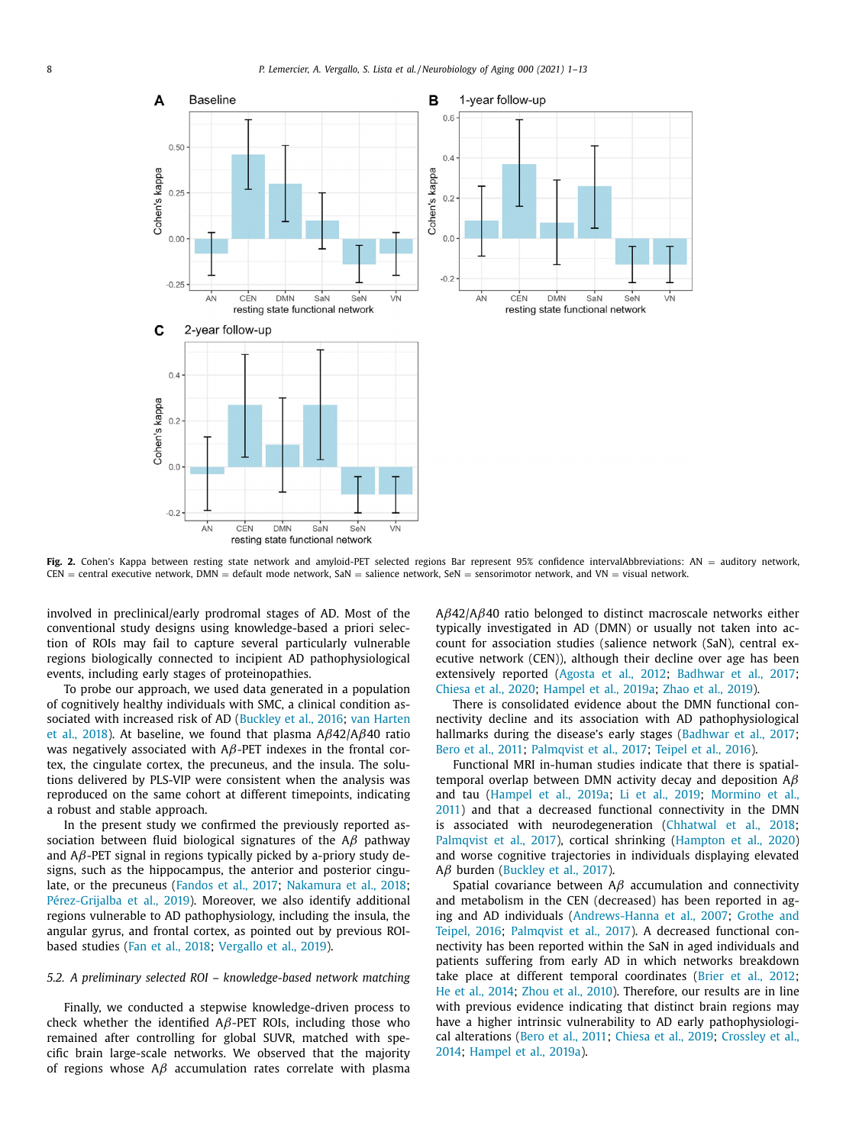<span id="page-7-0"></span>

**Fig. 2.** Cohen's Kappa between resting state network and amyloid-PET selected regions Bar represent 95% confidence intervalAbbreviations: AN = auditory network,  $CEN =$  central executive network, DMN = default mode network, SaN = salience network, SeN = sensorimotor network, and VN = visual network.

involved in preclinical/early prodromal stages of AD. Most of the conventional study designs using knowledge-based a priori selection of ROIs may fail to capture several particularly vulnerable regions biologically connected to incipient AD pathophysiological events, including early stages of proteinopathies.

To probe our approach, we used data generated in a population of cognitively healthy individuals with SMC, a clinical condition associated with [increased](#page-12-0) risk of AD [\(Buckley](#page-11-0) et al., 2016; van Harten et al., 2018). At baseline, we found that plasma  $A\beta 42/A\beta 40$  ratio was negatively associated with  $A\beta$ -PET indexes in the frontal cortex, the cingulate cortex, the precuneus, and the insula. The solutions delivered by PLS-VIP were consistent when the analysis was reproduced on the same cohort at different timepoints, indicating a robust and stable approach.

In the present study we confirmed the previously reported association between fluid biological signatures of the  $A\beta$  pathway and  $A\beta$ -PET signal in regions typically picked by a-priory study designs, such as the hippocampus, the anterior and posterior cingulate, or the precuneus [\(Fandos](#page-11-0) et al., 2017; [Nakamura](#page-12-0) et al., 2018; [Pérez-Grijalba](#page-12-0) et al., 2019). Moreover, we also identify additional regions vulnerable to AD pathophysiology, including the insula, the angular gyrus, and frontal cortex, as pointed out by previous ROIbased studies (Fan et al., [2018;](#page-11-0) [Vergallo](#page-12-0) et al., 2019).

## *5.2. A preliminary selected ROI – knowledge-based network matching*

Finally, we conducted a stepwise knowledge-driven process to check whether the identified  $A\beta$ -PET ROIs, including those who remained after controlling for global SUVR, matched with specific brain large-scale networks. We observed that the majority of regions whose  $A\beta$  accumulation rates correlate with plasma

 $A\beta$ 42/A $\beta$ 40 ratio belonged to distinct macroscale networks either typically investigated in AD (DMN) or usually not taken into account for association studies (salience network (SaN), central executive network (CEN)), although their decline over age has been extensively reported [\(Agosta](#page-10-0) et al., 2012; [Badhwar](#page-11-0) et al., 2017; [Chiesa](#page-11-0) et al., 2020; [Hampel](#page-11-0) et al., 2019a; Zhao et al., [2019\)](#page-12-0).

There is consolidated evidence about the DMN functional connectivity decline and its association with AD pathophysiological hallmarks during the disease's early stages [\(Badhwar](#page-11-0) et al., 2017; Bero et al., [2011;](#page-11-0) [Palmqvist](#page-12-0) et al., 2017; [Teipel](#page-12-0) et al., 2016).

Functional MRI in-human studies indicate that there is spatialtemporal overlap between DMN activity decay and deposition  $A\beta$ and tau [\(Hampel](#page-11-0) et al., 2019a; Li et al., [2019;](#page-12-0) Mormino et al., 2011) and that a decreased functional [connectivity](#page-12-0) in the DMN is associated with neurodegeneration [\(Chhatwal](#page-11-0) et al., 2018; [Palmqvist](#page-12-0) et al., 2017), cortical shrinking [\(Hampton](#page-11-0) et al., 2020) and worse cognitive trajectories in individuals displaying elevated  $A\beta$  burden [\(Buckley](#page-11-0) et al., 2017).

Spatial covariance between  $A\beta$  accumulation and connectivity and metabolism in the CEN (decreased) has been reported in aging and AD individuals [\(](#page-11-0)[Andrews-Hanna](#page-10-0) et al., 2007; Grothe and Teipel, 2016; [Palmqvist](#page-12-0) et al., 2017). A decreased functional connectivity has been reported within the SaN in aged individuals and patients suffering from early AD in which networks breakdown take place at different temporal coordinates (Brier et al., [2012;](#page-11-0) He et al., [2014;](#page-11-0) Zhou et al., [2010\)](#page-12-0). Therefore, our results are in line with previous evidence indicating that distinct brain regions may have a higher intrinsic vulnerability to AD early pathophysiological [alterations](#page-11-0) (Bero et al., [2011;](#page-11-0) [Chiesa](#page-11-0) et al., 2019; Crossley et al., 2014; [Hampel](#page-11-0) et al., 2019a).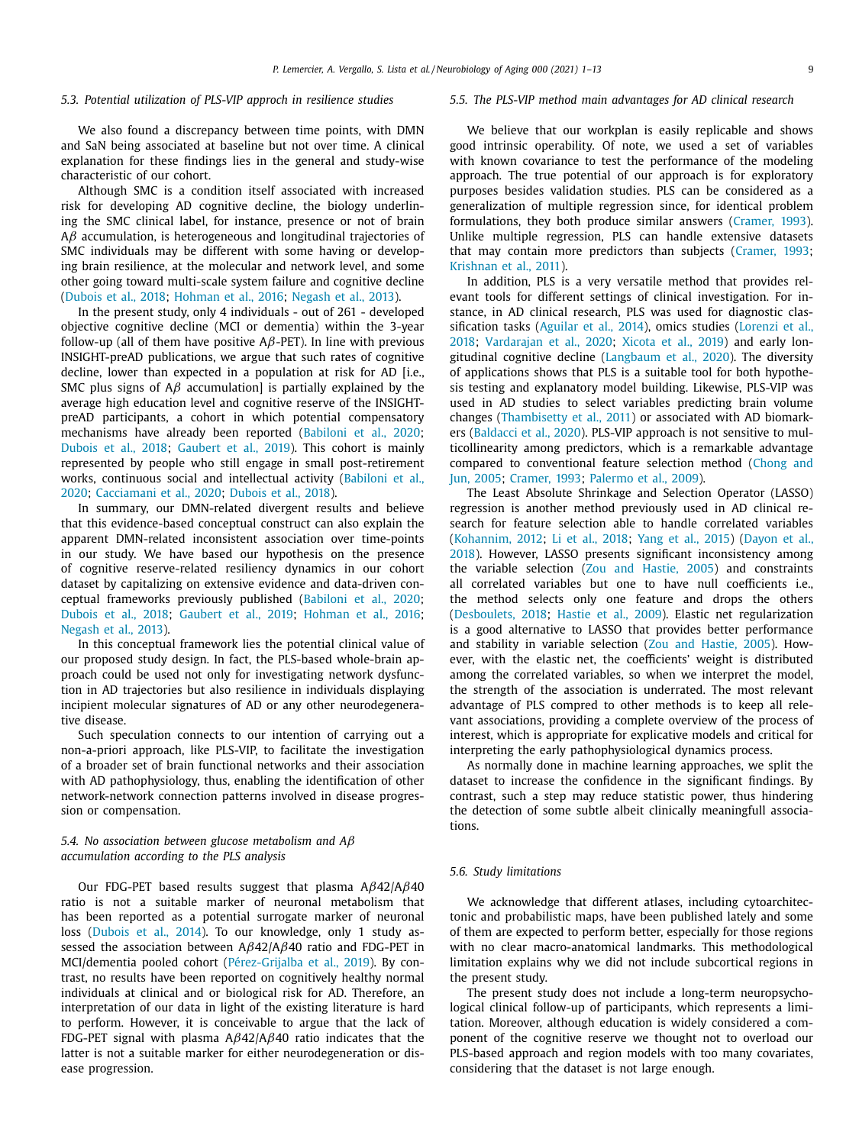#### *5.3. Potential utilization of PLS-VIP approch in resilience studies*

We also found a discrepancy between time points, with DMN and SaN being associated at baseline but not over time. A clinical explanation for these findings lies in the general and study-wise characteristic of our cohort.

Although SMC is a condition itself associated with increased risk for developing AD cognitive decline, the biology underlining the SMC clinical label, for instance, presence or not of brain  $A\beta$  accumulation, is heterogeneous and longitudinal trajectories of SMC individuals may be different with some having or developing brain resilience, at the molecular and network level, and some other going toward multi-scale system failure and cognitive decline [\(Dubois](#page-11-0) et al., 2018; [Hohman](#page-11-0) et al., 2016; [Negash](#page-12-0) et al., 2013).

In the present study, only 4 individuals - out of 261 - developed objective cognitive decline (MCI or dementia) within the 3-year follow-up (all of them have positive  $A\beta$ -PET). In line with previous INSIGHT-preAD publications, we argue that such rates of cognitive decline, lower than expected in a population at risk for AD [i.e., SMC plus signs of  $A\beta$  accumulation] is partially explained by the average high education level and cognitive reserve of the INSIGHTpreAD participants, a cohort in which potential compensatory mechanisms have already been reported [\(Babiloni](#page-10-0) et al., 2020; [Dubois](#page-11-0) et al., 2018; [Gaubert](#page-11-0) et al., 2019). This cohort is mainly represented by people who still engage in small post-retirement works, continuous social and intellectual activity (Babiloni et al., 2020; [Cacciamani](#page-10-0) et al., 2020; [Dubois](#page-11-0) et al., 2018).

In summary, our DMN-related divergent results and believe that this evidence-based conceptual construct can also explain the apparent DMN-related inconsistent association over time-points in our study. We have based our hypothesis on the presence of cognitive reserve-related resiliency dynamics in our cohort dataset by capitalizing on extensive evidence and data-driven conceptual frameworks previously published [\(Babiloni](#page-10-0) et al., 2020; [Dubois](#page-11-0) et al., 2018; [Gaubert](#page-11-0) et al., 2019; [Hohman](#page-11-0) et al., 2016; [Negash](#page-12-0) et al., 2013).

In this conceptual framework lies the potential clinical value of our proposed study design. In fact, the PLS-based whole-brain approach could be used not only for investigating network dysfunction in AD trajectories but also resilience in individuals displaying incipient molecular signatures of AD or any other neurodegenerative disease.

Such speculation connects to our intention of carrying out a non-a-priori approach, like PLS-VIP, to facilitate the investigation of a broader set of brain functional networks and their association with AD pathophysiology, thus, enabling the identification of other network-network connection patterns involved in disease progression or compensation.

# *5.4. No association between glucose metabolism and A*β *accumulation according to the PLS analysis*

Our FDG-PET based results suggest that plasma  $A\beta$ 42/A $\beta$ 40 ratio is not a suitable marker of neuronal metabolism that has been reported as a potential surrogate marker of neuronal loss [\(Dubois](#page-11-0) et al., 2014). To our knowledge, only 1 study assessed the association between Aβ42/Aβ40 ratio and FDG-PET in MCI/dementia pooled cohort [\(Pérez-Grijalba](#page-12-0) et al., 2019). By contrast, no results have been reported on cognitively healthy normal individuals at clinical and or biological risk for AD. Therefore, an interpretation of our data in light of the existing literature is hard to perform. However, it is conceivable to argue that the lack of FDG-PET signal with plasma  $A\beta$ 42/A $\beta$ 40 ratio indicates that the latter is not a suitable marker for either neurodegeneration or disease progression.

## *5.5. The PLS-VIP method main advantages for AD clinical research*

We believe that our workplan is easily replicable and shows good intrinsic operability. Of note, we used a set of variables with known covariance to test the performance of the modeling approach. The true potential of our approach is for exploratory purposes besides validation studies. PLS can be considered as a generalization of multiple regression since, for identical problem formulations, they both produce similar answers [\(Cramer,](#page-11-0) 1993). Unlike multiple regression, PLS can handle extensive datasets that may contain more predictors than subjects [\(Cramer,](#page-11-0) 1993; [Krishnan](#page-11-0) et al., 2011).

In addition, PLS is a very versatile method that provides relevant tools for different settings of clinical investigation. For instance, in AD clinical research, PLS was used for diagnostic classification tasks [\(Aguilar](#page-10-0) et al., 2014), omics studies (Lorenzi et al., 2018; [Vardarajan](#page-12-0) et al., 2020; [Xicota](#page-12-0) et al., 2019) and early longitudinal cognitive decline [\(Langbaum](#page-12-0) et al., 2020). The diversity of applications shows that PLS is a suitable tool for both hypothesis testing and explanatory model building. Likewise, PLS-VIP was used in AD studies to select variables predicting brain volume changes [\(Thambisetty](#page-12-0) et al., 2011) or associated with AD biomarkers [\(Baldacci](#page-11-0) et al., 2020). PLS-VIP approach is not sensitive to multicollinearity among predictors, which is a remarkable advantage compared to [conventional](#page-11-0) feature selection method (Chong and Jun, 2005; [Cramer,](#page-11-0) 1993; [Palermo](#page-12-0) et al., 2009).

The Least Absolute Shrinkage and Selection Operator (LASSO) regression is another method previously used in AD clinical research for feature selection able to handle correlated variables [\(Kohannim,](#page-11-0) 2012; Li et al., [2018;](#page-12-0) Yang et al., [2015\)](#page-12-0) (Dayon et al., 2018). However, LASSO presents significant [inconsistency](#page-11-0) among the variable selection (Zou and [Hastie,](#page-12-0) 2005) and constraints all correlated variables but one to have null coefficients i.e., the method selects only one feature and drops the others [\(Desboulets,](#page-11-0) 2018; [Hastie](#page-11-0) et al., 2009). Elastic net regularization is a good alternative to LASSO that provides better performance and stability in variable selection (Zou and [Hastie,](#page-12-0) 2005). However, with the elastic net, the coefficients' weight is distributed among the correlated variables, so when we interpret the model, the strength of the association is underrated. The most relevant advantage of PLS compred to other methods is to keep all relevant associations, providing a complete overview of the process of interest, which is appropriate for explicative models and critical for interpreting the early pathophysiological dynamics process.

As normally done in machine learning approaches, we split the dataset to increase the confidence in the significant findings. By contrast, such a step may reduce statistic power, thus hindering the detection of some subtle albeit clinically meaningfull associations.

## *5.6. Study limitations*

We acknowledge that different atlases, including cytoarchitectonic and probabilistic maps, have been published lately and some of them are expected to perform better, especially for those regions with no clear macro-anatomical landmarks. This methodological limitation explains why we did not include subcortical regions in the present study.

The present study does not include a long-term neuropsychological clinical follow-up of participants, which represents a limitation. Moreover, although education is widely considered a component of the cognitive reserve we thought not to overload our PLS-based approach and region models with too many covariates, considering that the dataset is not large enough.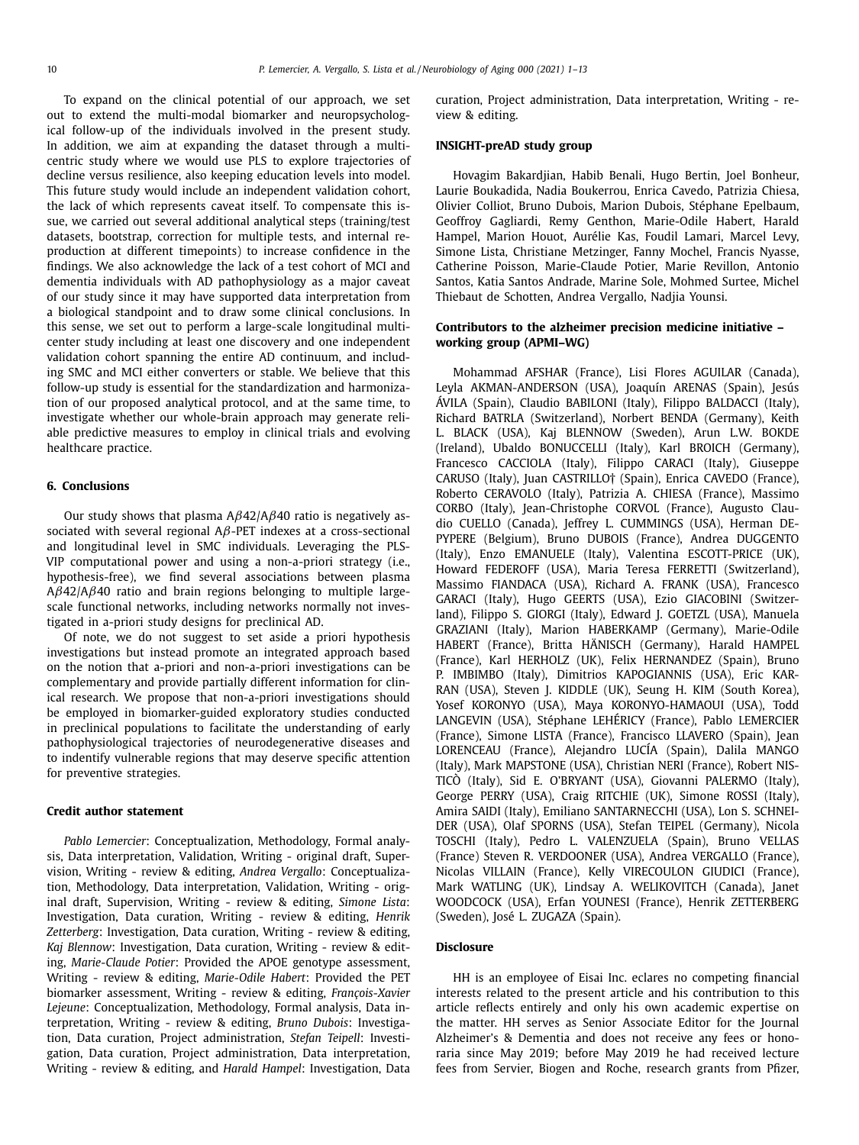To expand on the clinical potential of our approach, we set out to extend the multi-modal biomarker and neuropsychological follow-up of the individuals involved in the present study. In addition, we aim at expanding the dataset through a multicentric study where we would use PLS to explore trajectories of decline versus resilience, also keeping education levels into model. This future study would include an independent validation cohort, the lack of which represents caveat itself. To compensate this issue, we carried out several additional analytical steps (training/test datasets, bootstrap, correction for multiple tests, and internal reproduction at different timepoints) to increase confidence in the findings. We also acknowledge the lack of a test cohort of MCI and dementia individuals with AD pathophysiology as a major caveat of our study since it may have supported data interpretation from a biological standpoint and to draw some clinical conclusions. In this sense, we set out to perform a large-scale longitudinal multicenter study including at least one discovery and one independent validation cohort spanning the entire AD continuum, and including SMC and MCI either converters or stable. We believe that this follow-up study is essential for the standardization and harmonization of our proposed analytical protocol, and at the same time, to investigate whether our whole-brain approach may generate reliable predictive measures to employ in clinical trials and evolving healthcare practice.

# **6. Conclusions**

Our study shows that plasma  $A\beta 42/A\beta 40$  ratio is negatively associated with several regional  $A\beta$ -PET indexes at a cross-sectional and longitudinal level in SMC individuals. Leveraging the PLS-VIP computational power and using a non-a-priori strategy (i.e., hypothesis-free), we find several associations between plasma  $A\beta$ 42/A $\beta$ 40 ratio and brain regions belonging to multiple largescale functional networks, including networks normally not investigated in a-priori study designs for preclinical AD.

Of note, we do not suggest to set aside a priori hypothesis investigations but instead promote an integrated approach based on the notion that a-priori and non-a-priori investigations can be complementary and provide partially different information for clinical research. We propose that non-a-priori investigations should be employed in biomarker-guided exploratory studies conducted in preclinical populations to facilitate the understanding of early pathophysiological trajectories of neurodegenerative diseases and to indentify vulnerable regions that may deserve specific attention for preventive strategies.

## **Credit author statement**

*Pablo Lemercier*: Conceptualization, Methodology, Formal analysis, Data interpretation, Validation, Writing - original draft, Supervision, Writing - review & editing, *Andrea Vergallo*: Conceptualization, Methodology, Data interpretation, Validation, Writing - original draft, Supervision, Writing - review & editing, *Simone Lista*: Investigation, Data curation, Writing - review & editing, *Henrik Zetterberg*: Investigation, Data curation, Writing - review & editing, *Kaj Blennow*: Investigation, Data curation, Writing - review & editing, *Marie-Claude Potier*: Provided the APOE genotype assessment, Writing - review & editing, *Marie-Odile Habert*: Provided the PET biomarker assessment, Writing - review & editing, *François-Xavier Lejeune*: Conceptualization, Methodology, Formal analysis, Data interpretation, Writing - review & editing, *Bruno Dubois*: Investigation, Data curation, Project administration, *Stefan Teipell*: Investigation, Data curation, Project administration, Data interpretation, Writing - review & editing, and *Harald Hampel*: Investigation, Data curation, Project administration, Data interpretation, Writing - review & editing.

## **INSIGHT-preAD study group**

Hovagim Bakardjian, Habib Benali, Hugo Bertin, Joel Bonheur, Laurie Boukadida, Nadia Boukerrou, Enrica Cavedo, Patrizia Chiesa, Olivier Colliot, Bruno Dubois, Marion Dubois, Stéphane Epelbaum, Geoffroy Gagliardi, Remy Genthon, Marie-Odile Habert, Harald Hampel, Marion Houot, Aurélie Kas, Foudil Lamari, Marcel Levy, Simone Lista, Christiane Metzinger, Fanny Mochel, Francis Nyasse, Catherine Poisson, Marie-Claude Potier, Marie Revillon, Antonio Santos, Katia Santos Andrade, Marine Sole, Mohmed Surtee, Michel Thiebaut de Schotten, Andrea Vergallo, Nadjia Younsi.

# **Contributors to the alzheimer precision medicine initiative – working group (APMI–WG)**

Mohammad AFSHAR (France), Lisi Flores AGUILAR (Canada), Leyla AKMAN-ANDERSON (USA), Joaquín ARENAS (Spain), Jesús ÁVILA (Spain), Claudio BABILONI (Italy), Filippo BALDACCI (Italy), Richard BATRLA (Switzerland), Norbert BENDA (Germany), Keith L. BLACK (USA), Kaj BLENNOW (Sweden), Arun L.W. BOKDE (Ireland), Ubaldo BONUCCELLI (Italy), Karl BROICH (Germany), Francesco CACCIOLA (Italy), Filippo CARACI (Italy), Giuseppe CARUSO (Italy), Juan CASTRILLO† (Spain), Enrica CAVEDO (France), Roberto CERAVOLO (Italy), Patrizia A. CHIESA (France), Massimo CORBO (Italy), Jean-Christophe CORVOL (France), Augusto Claudio CUELLO (Canada), Jeffrey L. CUMMINGS (USA), Herman DE-PYPERE (Belgium), Bruno DUBOIS (France), Andrea DUGGENTO (Italy), Enzo EMANUELE (Italy), Valentina ESCOTT-PRICE (UK), Howard FEDEROFF (USA), Maria Teresa FERRETTI (Switzerland), Massimo FIANDACA (USA), Richard A. FRANK (USA), Francesco GARACI (Italy), Hugo GEERTS (USA), Ezio GIACOBINI (Switzerland), Filippo S. GIORGI (Italy), Edward J. GOETZL (USA), Manuela GRAZIANI (Italy), Marion HABERKAMP (Germany), Marie-Odile HABERT (France), Britta HÄNISCH (Germany), Harald HAMPEL (France), Karl HERHOLZ (UK), Felix HERNANDEZ (Spain), Bruno P. IMBIMBO (Italy), Dimitrios KAPOGIANNIS (USA), Eric KAR-RAN (USA), Steven J. KIDDLE (UK), Seung H. KIM (South Korea), Yosef KORONYO (USA), Maya KORONYO-HAMAOUI (USA), Todd LANGEVIN (USA), Stéphane LEHÉRICY (France), Pablo LEMERCIER (France), Simone LISTA (France), Francisco LLAVERO (Spain), Jean LORENCEAU (France), Alejandro LUCÍA (Spain), Dalila MANGO (Italy), Mark MAPSTONE (USA), Christian NERI (France), Robert NIS-TICÒ (Italy), Sid E. O'BRYANT (USA), Giovanni PALERMO (Italy), George PERRY (USA), Craig RITCHIE (UK), Simone ROSSI (Italy), Amira SAIDI (Italy), Emiliano SANTARNECCHI (USA), Lon S. SCHNEI-DER (USA), Olaf SPORNS (USA), Stefan TEIPEL (Germany), Nicola TOSCHI (Italy), Pedro L. VALENZUELA (Spain), Bruno VELLAS (France) Steven R. VERDOONER (USA), Andrea VERGALLO (France), Nicolas VILLAIN (France), Kelly VIRECOULON GIUDICI (France), Mark WATLING (UK), Lindsay A. WELIKOVITCH (Canada), Janet WOODCOCK (USA), Erfan YOUNESI (France), Henrik ZETTERBERG (Sweden), José L. ZUGAZA (Spain).

# **Disclosure**

HH is an employee of Eisai Inc. eclares no competing financial interests related to the present article and his contribution to this article reflects entirely and only his own academic expertise on the matter. HH serves as Senior Associate Editor for the Journal Alzheimer's & Dementia and does not receive any fees or honoraria since May 2019; before May 2019 he had received lecture fees from Servier, Biogen and Roche, research grants from Pfizer,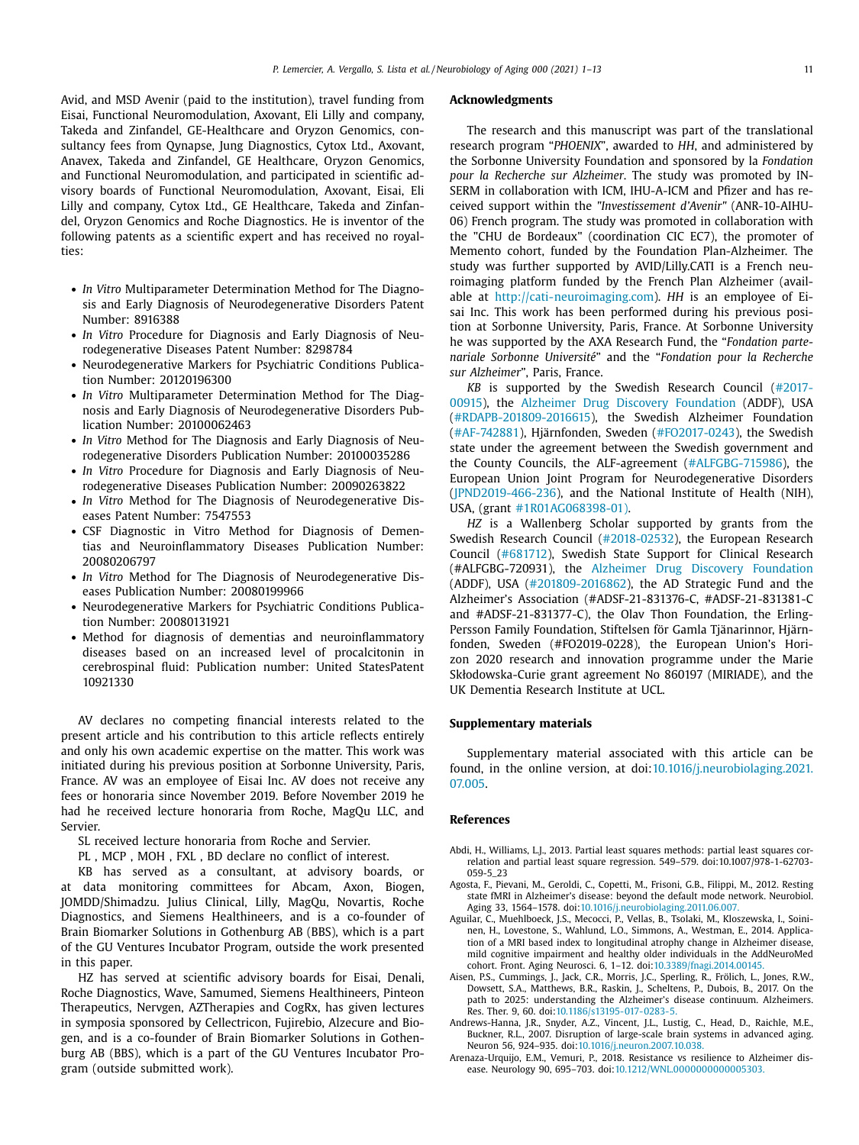<span id="page-10-0"></span>Avid, and MSD Avenir (paid to the institution), travel funding from Eisai, Functional Neuromodulation, Axovant, Eli Lilly and company, Takeda and Zinfandel, GE-Healthcare and Oryzon Genomics, consultancy fees from Qynapse, Jung Diagnostics, Cytox Ltd., Axovant, Anavex, Takeda and Zinfandel, GE Healthcare, Oryzon Genomics, and Functional Neuromodulation, and participated in scientific advisory boards of Functional Neuromodulation, Axovant, Eisai, Eli Lilly and company, Cytox Ltd., GE Healthcare, Takeda and Zinfandel, Oryzon Genomics and Roche Diagnostics. He is inventor of the following patents as a scientific expert and has received no royalties:

- *In Vitro* Multiparameter Determination Method for The Diagnosis and Early Diagnosis of Neurodegenerative Disorders Patent Number: 8916388
- *In Vitro* Procedure for Diagnosis and Early Diagnosis of Neurodegenerative Diseases Patent Number: 8298784
- Neurodegenerative Markers for Psychiatric Conditions Publication Number: 20120196300
- *In Vitro* Multiparameter Determination Method for The Diagnosis and Early Diagnosis of Neurodegenerative Disorders Publication Number: 20100062463
- *In Vitro* Method for The Diagnosis and Early Diagnosis of Neurodegenerative Disorders Publication Number: 20100035286
- *In Vitro* Procedure for Diagnosis and Early Diagnosis of Neurodegenerative Diseases Publication Number: 20090263822
- *In Vitro* Method for The Diagnosis of Neurodegenerative Diseases Patent Number: 7547553
- CSF Diagnostic in Vitro Method for Diagnosis of Dementias and Neuroinflammatory Diseases Publication Number: 20080206797
- *In Vitro* Method for The Diagnosis of Neurodegenerative Diseases Publication Number: 20080199966
- Neurodegenerative Markers for Psychiatric Conditions Publication Number: 20080131921
- Method for diagnosis of dementias and neuroinflammatory diseases based on an increased level of procalcitonin in cerebrospinal fluid: Publication number: United StatesPatent 10921330

AV declares no competing financial interests related to the present article and his contribution to this article reflects entirely and only his own academic expertise on the matter. This work was initiated during his previous position at Sorbonne University, Paris, France. AV was an employee of Eisai Inc. AV does not receive any fees or honoraria since November 2019. Before November 2019 he had he received lecture honoraria from Roche, MagQu LLC, and Servier.

SL received lecture honoraria from Roche and Servier.

PL , MCP , MOH , FXL , BD declare no conflict of interest.

KB has served as a consultant, at advisory boards, or at data monitoring committees for Abcam, Axon, Biogen, JOMDD/Shimadzu. Julius Clinical, Lilly, MagQu, Novartis, Roche Diagnostics, and Siemens Healthineers, and is a co-founder of Brain Biomarker Solutions in Gothenburg AB (BBS), which is a part of the GU Ventures Incubator Program, outside the work presented in this paper.

HZ has served at scientific advisory boards for Eisai, Denali, Roche Diagnostics, Wave, Samumed, Siemens Healthineers, Pinteon Therapeutics, Nervgen, AZTherapies and CogRx, has given lectures in symposia sponsored by Cellectricon, Fujirebio, Alzecure and Biogen, and is a co-founder of Brain Biomarker Solutions in Gothenburg AB (BBS), which is a part of the GU Ventures Incubator Program (outside submitted work).

## **Acknowledgments**

The research and this manuscript was part of the translational research program "*PHOENIX*", awarded to *HH*, and administered by the Sorbonne University Foundation and sponsored by la *Fondation pour la Recherche sur Alzheimer*. The study was promoted by IN-SERM in collaboration with ICM, IHU-A-ICM and Pfizer and has received support within the *"Investissement d'Avenir"* (ANR-10-AIHU-06) French program. The study was promoted in collaboration with the "CHU de Bordeaux" (coordination CIC EC7), the promoter of Memento cohort, funded by the Foundation Plan-Alzheimer. The study was further supported by AVID/Lilly.CATI is a French neuroimaging platform funded by the French Plan Alzheimer (available at [http://cati-neuroimaging.com\)](http://cati-neuroimaging.com). *HH* is an employee of Eisai Inc. This work has been performed during his previous position at Sorbonne University, Paris, France. At Sorbonne University he was supported by the AXA Research Fund, the "*Fondation partenariale Sorbonne Université*" and the "*Fondation pour la Recherche sur Alzheimer*", Paris, France.

*KB* is supported by the Swedish Research Council (#2017- 00915), the Alzheimer Drug Discovery [Foundation](https://doi.org/10.13039/100002565) (ADDF), USA (#RDAPB-201809-2016615), the Swedish Alzheimer Foundation (#AF-742881), Hjärnfonden, Sweden (#FO2017-0243), the Swedish state under the agreement between the Swedish government and the County Councils, the ALF-agreement (#ALFGBG-715986), the European Union Joint Program for Neurodegenerative Disorders (JPND2019-466-236), and the National Institute of Health (NIH), USA, (grant #1R01AG068398-01).

*HZ* is a Wallenberg Scholar supported by grants from the Swedish Research Council (#2018-02532), the European Research Council (#681712), Swedish State Support for Clinical Research (#ALFGBG-720931), the Alzheimer Drug Discovery [Foundation](https://doi.org/10.13039/100002565) (ADDF), USA (#201809-2016862), the AD Strategic Fund and the Alzheimer's Association (#ADSF-21-831376-C, #ADSF-21-831381-C and #ADSF-21-831377-C), the Olav Thon Foundation, the Erling-Persson Family Foundation, Stiftelsen för Gamla Tjänarinnor, Hjärnfonden, Sweden (#FO2019-0228), the European Union's Horizon 2020 research and innovation programme under the Marie Skłodowska-Curie grant agreement No 860197 (MIRIADE), and the UK Dementia Research Institute at UCL.

#### **Supplementary materials**

Supplementary material associated with this article can be found, in the online version, at [doi:10.1016/j.neurobiolaging.2021.](https://doi.org/10.1016/j.neurobiolaging.2021.07.005) 07.005.

#### **References**

- Abdi, H., Williams, L.J., 2013. Partial least squares methods: partial least squares correlation and partial least square regression. 549–579. doi:10.1007/978-1-62703- 059-5\_23
- Agosta, F., Pievani, M., Geroldi, C., Copetti, M., Frisoni, G.B., Filippi, M., 2012. Resting state fMRI in Alzheimer's disease: beyond the default mode network. Neurobiol. Aging 33, 1564–1578. doi[:10.1016/j.neurobiolaging.2011.06.007.](https://doi.org/10.1016/j.neurobiolaging.2011.06.007)
- Aguilar, C., Muehlboeck, J.S., Mecocci, P., Vellas, B., Tsolaki, M., Kloszewska, I., Soininen, H., Lovestone, S., Wahlund, L.O., Simmons, A., Westman, E., 2014. Application of a MRI based index to longitudinal atrophy change in Alzheimer disease, mild cognitive impairment and healthy older individuals in the AddNeuroMed cohort. Front. Aging Neurosci. 6, 1–12. doi[:10.3389/fnagi.2014.00145.](https://doi.org/10.3389/fnagi.2014.00145)
- Aisen, P.S., Cummings, J., Jack, C.R., Morris, J.C., Sperling, R., Frölich, L., Jones, R.W., Dowsett, S.A., Matthews, B.R., Raskin, J., Scheltens, P., Dubois, B., 2017. On the path to 2025: understanding the Alzheimer's disease continuum. Alzheimers. Res. Ther. 9, 60. doi[:10.1186/s13195-017-0283-5.](https://doi.org/10.1186/s13195-017-0283-5)
- Andrews-Hanna, J.R., Snyder, A.Z., Vincent, J.L., Lustig, C., Head, D., Raichle, M.E., Buckner, R.L., 2007. Disruption of large-scale brain systems in advanced aging. Neuron 56, 924–935. doi[:10.1016/j.neuron.2007.10.038.](https://doi.org/10.1016/j.neuron.2007.10.038)
- Arenaza-Urquijo, E.M., Vemuri, P., 2018. Resistance vs resilience to Alzheimer disease. Neurology 90, 695–703. doi[:10.1212/WNL.0000000000005303.](https://doi.org/10.1212/WNL.0000000000005303)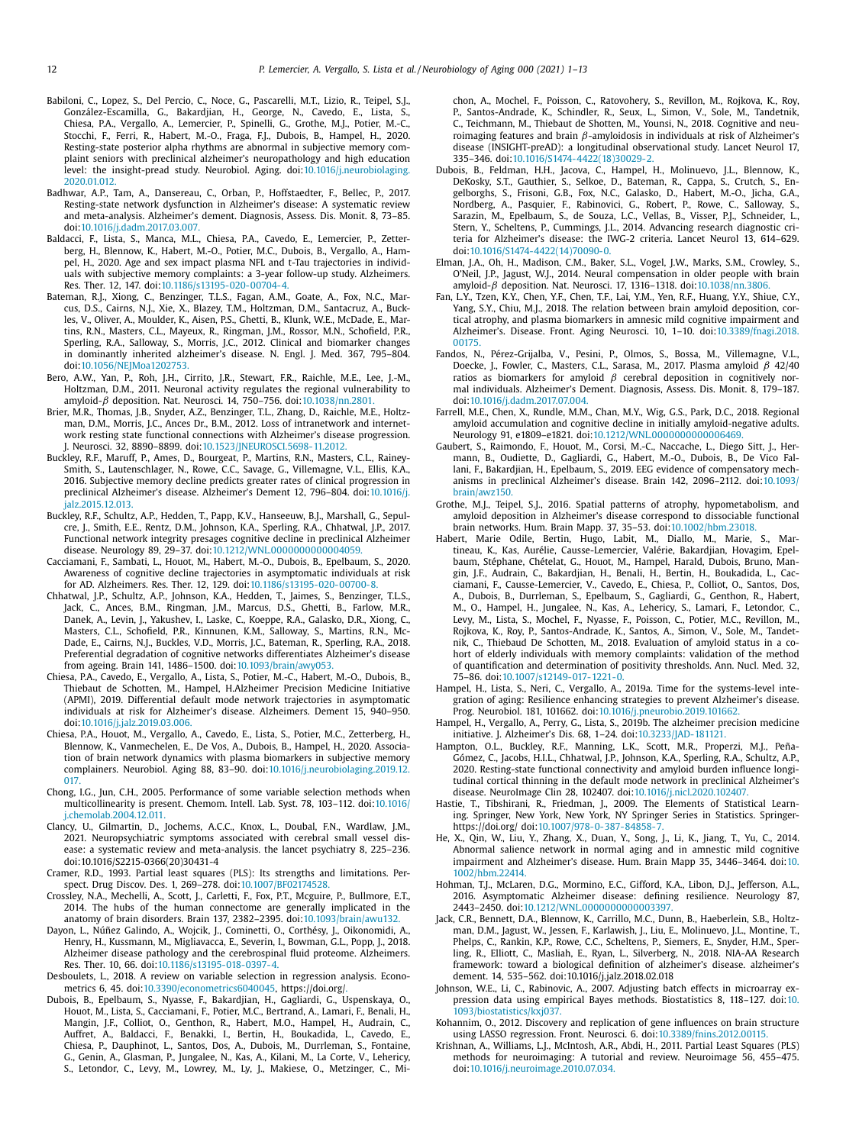- <span id="page-11-0"></span>Babiloni, C., Lopez, S., Del Percio, C., Noce, G., Pascarelli, M.T., Lizio, R., Teipel, S.J., González-Escamilla, G., Bakardjian, H., George, N., Cavedo, E., Lista, S., Chiesa, P.A., Vergallo, A., Lemercier, P., Spinelli, G., Grothe, M.J., Potier, M.-C., Stocchi, F., Ferri, R., Habert, M.-O., Fraga, F.J., Dubois, B., Hampel, H., 2020. Resting-state posterior alpha rhythms are abnormal in subjective memory complaint seniors with preclinical alzheimer's neuropathology and high education level: the insight-pread study. Neurobiol. Aging. [doi:10.1016/j.neurobiolaging.](https://doi.org/10.1016/j.neurobiolaging.2020.01.012) 2020.01.012.
- Badhwar, A.P., Tam, A., Dansereau, C., Orban, P., Hoffstaedter, F., Bellec, P., 2017. Resting-state network dysfunction in Alzheimer's disease: A systematic review and meta-analysis. Alzheimer's dement. Diagnosis, Assess. Dis. Monit. 8, 73–85. doi[:10.1016/j.dadm.2017.03.007.](https://doi.org/10.1016/j.dadm.2017.03.007)
- Baldacci, F., Lista, S., Manca, M.L., Chiesa, P.A., Cavedo, E., Lemercier, P., Zetterberg, H., Blennow, K., Habert, M.-O., Potier, M.C., Dubois, B., Vergallo, A., Hampel, H., 2020. Age and sex impact plasma NFL and t-Tau trajectories in individuals with subjective memory complaints: a 3-year follow-up study. Alzheimers. Res. Ther. 12, 147. doi[:10.1186/s13195-020-00704-4.](https://doi.org/10.1186/s13195-020-00704-4)
- Bateman, R.J., Xiong, C., Benzinger, T.L.S., Fagan, A.M., Goate, A., Fox, N.C., Marcus, D.S., Cairns, N.J., Xie, X., Blazey, T.M., Holtzman, D.M., Santacruz, A., Buckles, V., Oliver, A., Moulder, K., Aisen, P.S., Ghetti, B., Klunk, W.E., McDade, E., Martins, R.N., Masters, C.L., Mayeux, R., Ringman, J.M., Rossor, M.N., Schofield, P.R., Sperling, R.A., Salloway, S., Morris, J.C., 2012. Clinical and biomarker changes in dominantly inherited alzheimer's disease. N. Engl. J. Med. 367, 795–804. doi[:10.1056/NEJMoa1202753.](https://doi.org/10.1056/NEJMoa1202753)
- Bero, A.W., Yan, P., Roh, J.H., Cirrito, J.R., Stewart, F.R., Raichle, M.E., Lee, J.-M., Holtzman, D.M., 2011. Neuronal activity regulates the regional vulnerability to amyloid- $\beta$  deposition. Nat. Neurosci. 14, 750–756. doi[:10.1038/nn.2801.](https://doi.org/10.1038/nn.2801)
- Brier, M.R., Thomas, J.B., Snyder, A.Z., Benzinger, T.L., Zhang, D., Raichle, M.E., Holtzman, D.M., Morris, J.C., Ances Dr., B.M., 2012. Loss of intranetwork and internetwork resting state functional connections with Alzheimer's disease progression. J. Neurosci. 32, 8890–8899. doi[:10.1523/JNEUROSCI.5698-11.2012.](https://doi.org/10.1523/JNEUROSCI.5698-11.2012)
- Buckley, R.F., Maruff, P., Ames, D., Bourgeat, P., Martins, R.N., Masters, C.L., Rainey-Smith, S., Lautenschlager, N., Rowe, C.C., Savage, G., Villemagne, V.L., Ellis, K.A., 2016. Subjective memory decline predicts greater rates of clinical progression in preclinical Alzheimer's disease. Alzheimer's Dement 12, 796–804. doi:10.1016/j. alz.2015.12.013.
- Buckley, R.F., Schultz, A.P., Hedden, T., Papp, K.V., Hanseeuw, B.J., Marshall, G., Sepulcre, J., Smith, E.E., Rentz, D.M., Johnson, K.A., Sperling, R.A., Chhatwal, J.P., 2017. Functional network integrity presages cognitive decline in preclinical Alzheimer disease. Neurology 89, 29–37. doi[:10.1212/WNL.0000000000004059.](https://doi.org/10.1212/WNL.0000000000004059)
- Cacciamani, F., Sambati, L., Houot, M., Habert, M.-O., Dubois, B., Epelbaum, S., 2020. Awareness of cognitive decline trajectories in asymptomatic individuals at risk for AD. Alzheimers. Res. Ther. 12, 129. doi[:10.1186/s13195-020-00700-8.](https://doi.org/10.1186/s13195-020-00700-8)
- Chhatwal, J.P., Schultz, A.P., Johnson, K.A., Hedden, T., Jaimes, S., Benzinger, T.L.S., Jack, C., Ances, B.M., Ringman, J.M., Marcus, D.S., Ghetti, B., Farlow, M.R., Danek, A., Levin, J., Yakushev, I., Laske, C., Koeppe, R.A., Galasko, D.R., Xiong, C., Masters, C.L., Schofield, P.R., Kinnunen, K.M., Salloway, S., Martins, R.N., Mc-Dade, E., Cairns, N.J., Buckles, V.D., Morris, J.C., Bateman, R., Sperling, R.A., 2018. Preferential degradation of cognitive networks differentiates Alzheimer's disease from ageing. Brain 141, 1486–1500. doi[:10.1093/brain/awy053.](https://doi.org/10.1093/brain/awy053)
- Chiesa, P.A., Cavedo, E., Vergallo, A., Lista, S., Potier, M.-C., Habert, M.-O., Dubois, B., Thiebaut de Schotten, M., Hampel, H.Alzheimer Precision Medicine Initiative (APMI), 2019. Differential default mode network trajectories in asymptomatic individuals at risk for Alzheimer's disease. Alzheimers. Dement 15, 940–950. doi[:10.1016/j.jalz.2019.03.006.](https://doi.org/10.1016/j.jalz.2019.03.006)
- Chiesa, P.A., Houot, M., Vergallo, A., Cavedo, E., Lista, S., Potier, M.C., Zetterberg, H., Blennow, K., Vanmechelen, E., De Vos, A., Dubois, B., Hampel, H., 2020. Association of brain network dynamics with plasma biomarkers in subjective memory complainers. Neurobiol. Aging 88, 83–90. [doi:10.1016/j.neurobiolaging.2019.12.](https://doi.org/10.1016/j.neurobiolaging.2019.12.017) 017.
- Chong, I.G., Jun, C.H., 2005. Performance of some variable selection methods when multicollinearity is present. Chemom. Intell. Lab. Syst. 78, 103–112. doi:10.1016/ [j.chemolab.2004.12.011.](https://doi.org/10.1016/j.chemolab.2004.12.011)
- Clancy, U., Gilmartin, D., Jochems, A.C.C., Knox, L., Doubal, F.N., Wardlaw, J.M., 2021. Neuropsychiatric symptoms associated with cerebral small vessel disease: a systematic review and meta-analysis. the lancet psychiatry 8, 225–236. doi:10.1016/S2215-0366(20)30431-4
- Cramer, R.D., 1993. Partial least squares (PLS): Its strengths and limitations. Perspect. Drug Discov. Des. 1, 269–278. doi[:10.1007/BF02174528.](https://doi.org/10.1007/BF02174528)
- Crossley, N.A., Mechelli, A., Scott, J., Carletti, F., Fox, P.T., Mcguire, P., Bullmore, E.T., 2014. The hubs of the human connectome are generally implicated in the anatomy of brain disorders. Brain 137, 2382–2395. doi[:10.1093/brain/awu132.](https://doi.org/10.1093/brain/awu132)
- Dayon, L., Núñez Galindo, A., Wojcik, J., Cominetti, O., Corthésy, J., Oikonomidi, A., Henry, H., Kussmann, M., Migliavacca, E., Severin, I., Bowman, G.L., Popp, J., 2018. Alzheimer disease pathology and the cerebrospinal fluid proteome. Alzheimers. Res. Ther. 10, 66. doi[:10.1186/s13195-018-0397-4.](https://doi.org/10.1186/s13195-018-0397-4)

Desboulets, L., 2018. A review on variable selection in regression analysis. Econometrics 6, 45. doi[:10.3390/econometrics6040045,](https://doi.org/10.3390/econometrics6040045) https://doi.org/.

Dubois, B., Epelbaum, S., Nyasse, F., Bakardjian, H., Gagliardi, G., Uspenskaya, O., Houot, M., Lista, S., Cacciamani, F., Potier, M.C., Bertrand, A., Lamari, F., Benali, H., Mangin, J.F., Colliot, O., Genthon, R., Habert, M.O., Hampel, H., Audrain, C., Auffret, A., Baldacci, F., Benakki, I., Bertin, H., Boukadida, L., Cavedo, E., Chiesa, P., Dauphinot, L., Santos, Dos, A., Dubois, M., Durrleman, S., Fontaine, G., Genin, A., Glasman, P., Jungalee, N., Kas, A., Kilani, M., La Corte, V., Lehericy, S., Letondor, C., Levy, M., Lowrey, M., Ly, J., Makiese, O., Metzinger, C., Michon, A., Mochel, F., Poisson, C., Ratovohery, S., Revillon, M., Rojkova, K., Roy, P., Santos-Andrade, K., Schindler, R., Seux, L., Simon, V., Sole, M., Tandetnik, C., Teichmann, M., Thiebaut de Shotten, M., Younsi, N., 2018. Cognitive and neuroimaging features and brain β-amyloidosis in individuals at risk of Alzheimer's disease (INSIGHT-preAD): a longitudinal observational study. Lancet Neurol 17, 335–346. doi[:10.1016/S1474-4422\(18\)30029-2.](https://doi.org/10.1016/S1474-4422(18)30029-2)

- Dubois, B., Feldman, H.H., Jacova, C., Hampel, H., Molinuevo, J.L., Blennow, K., DeKosky, S.T., Gauthier, S., Selkoe, D., Bateman, R., Cappa, S., Crutch, S., Engelborghs, S., Frisoni, G.B., Fox, N.C., Galasko, D., Habert, M.-O., Jicha, G.A., Nordberg, A., Pasquier, F., Rabinovici, G., Robert, P., Rowe, C., Salloway, S., Sarazin, M., Epelbaum, S., de Souza, L.C., Vellas, B., Visser, P.J., Schneider, L., Stern, Y., Scheltens, P., Cummings, J.L., 2014. Advancing research diagnostic criteria for Alzheimer's disease: the IWG-2 criteria. Lancet Neurol 13, 614–629. doi[:10.1016/S1474-4422\(14\)70090-0.](https://doi.org/10.1016/S1474-4422(14)70090-0)
- Elman, J.A., Oh, H., Madison, C.M., Baker, S.L., Vogel, J.W., Marks, S.M., Crowley, S., O'Neil, J.P., Jagust, W.J., 2014. Neural compensation in older people with brain amyloid-β deposition. Nat. Neurosci. 17, 1316–1318. doi[:10.1038/nn.3806.](https://doi.org/10.1038/nn.3806)
- Fan, L.Y., Tzen, K.Y., Chen, Y.F., Chen, T.F., Lai, Y.M., Yen, R.F., Huang, Y.Y., Shiue, C.Y., Yang, S.Y., Chiu, M.J., 2018. The relation between brain amyloid deposition, cortical atrophy, and plasma biomarkers in amnesic mild cognitive impairment and Alzheimer's. Disease. Front. Aging Neurosci. 10, 1–10. [doi:10.3389/fnagi.2018.](https://doi.org/10.3389/fnagi.2018.00175) 00175.
- Fandos, N., Pérez-Grijalba, V., Pesini, P., Olmos, S., Bossa, M., Villemagne, V.L., Doecke, J., Fowler, C., Masters, C.L., Sarasa, M., 2017. Plasma amyloid β 42/40 ratios as biomarkers for amyloid  $\beta$  cerebral deposition in cognitively normal individuals. Alzheimer's Dement. Diagnosis, Assess. Dis. Monit. 8, 179–187. doi[:10.1016/j.dadm.2017.07.004.](https://doi.org/10.1016/j.dadm.2017.07.004)
- Farrell, M.E., Chen, X., Rundle, M.M., Chan, M.Y., Wig, G.S., Park, D.C., 2018. Regional amyloid accumulation and cognitive decline in initially amyloid-negative adults. Neurology 91, e1809–e1821. doi[:10.1212/WNL.0000000000006469.](https://doi.org/10.1212/WNL.0000000000006469)
- Gaubert, S., Raimondo, F., Houot, M., Corsi, M.-C., Naccache, L., Diego Sitt, J., Hermann, B., Oudiette, D., Gagliardi, G., Habert, M.-O., Dubois, B., De Vico Fal-lani, F., Bakardjian, H., Epelbaum, S., 2019. EEG evidence of compensatory mechanisms in preclinical Alzheimer's disease. Brain 142, 2096–2112. doi:10.1093/ [brain/awz150.](https://doi.org/10.1093/brain/awz150)
- Grothe, M.J., Teipel, S.J., 2016. Spatial patterns of atrophy, hypometabolism, and amyloid deposition in Alzheimer's disease correspond to dissociable functional brain networks. Hum. Brain Mapp. 37, 35–53. doi[:10.1002/hbm.23018.](https://doi.org/10.1002/hbm.23018)
- Habert, Marie Odile, Bertin, Hugo, Labit, M., Diallo, M., Marie, S., Martineau, K., Kas, Aurélie, Causse-Lemercier, Valérie, Bakardjian, Hovagim, Epelbaum, Stéphane, Chételat, G., Houot, M., Hampel, Harald, Dubois, Bruno, Mangin, J.F., Audrain, C., Bakardjian, H., Benali, H., Bertin, H., Boukadida, L., Cacciamani, F., Causse-Lemercier, V., Cavedo, E., Chiesa, P., Colliot, O., Santos, Dos, A., Dubois, B., Durrleman, S., Epelbaum, S., Gagliardi, G., Genthon, R., Habert, M., O., Hampel, H., Jungalee, N., Kas, A., Lehericy, S., Lamari, F., Letondor, C., Levy, M., Lista, S., Mochel, F., Nyasse, F., Poisson, C., Potier, M.C., Revillon, M., Rojkova, K., Roy, P., Santos-Andrade, K., Santos, A., Simon, V., Sole, M., Tandetnik, C., Thiebaud De Schotten, M., 2018. Evaluation of amyloid status in a cohort of elderly individuals with memory complaints: validation of the method of quantification and determination of positivity thresholds. Ann. Nucl. Med. 32, 75–86. doi[:10.1007/s12149-017-1221-0.](https://doi.org/10.1007/s12149-017-1221-0)
- Hampel, H., Lista, S., Neri, C., Vergallo, A., 2019a. Time for the systems-level integration of aging: Resilience enhancing strategies to prevent Alzheimer's disease. Prog. Neurobiol. 181, 101662. doi[:10.1016/j.pneurobio.2019.101662.](https://doi.org/10.1016/j.pneurobio.2019.101662)
- Hampel, H., Vergallo, A., Perry, G., Lista, S., 2019b. The alzheimer precision medicine initiative. J. Alzheimer's Dis. 68, 1–24. doi[:10.3233/JAD-181121.](https://doi.org/10.3233/JAD-181121)
- Hampton, O.L., Buckley, R.F., Manning, L.K., Scott, M.R., Properzi, M.J., Peña-Gómez, C., Jacobs, H.I.L., Chhatwal, J.P., Johnson, K.A., Sperling, R.A., Schultz, A.P., 2020. Resting-state functional connectivity and amyloid burden influence longitudinal cortical thinning in the default mode network in preclinical Alzheimer's disease. NeuroImage Clin 28, 102407. doi[:10.1016/j.nicl.2020.102407.](https://doi.org/10.1016/j.nicl.2020.102407)
- Hastie, T., Tibshirani, R., Friedman, J., 2009. The Elements of Statistical Learning. Springer, New York, New York, NY Springer Series in Statistics. Springerhttps://doi.org/ doi[:10.1007/978-0-387-84858-7.](https://doi.org/10.1007/978-0-387-84858-7)
- He, X., Qin, W., Liu, Y., Zhang, X., Duan, Y., Song, J., Li, K., Jiang, T., Yu, C., 2014. Abnormal salience network in normal aging and in amnestic mild cognitive impairment and Alzheimer's disease. Hum. Brain Mapp 35, 3446–3464. doi:10. [1002/hbm.22414.](https://doi.org/10.1002/hbm.22414)
- Hohman, T.J., McLaren, D.G., Mormino, E.C., Gifford, K.A., Libon, D.J., Jefferson, A.L., 2016. Asymptomatic Alzheimer disease: defining resilience. Neurology 87, 2443–2450. doi[:10.1212/WNL.0000000000003397.](https://doi.org/10.1212/WNL.0000000000003397)
- Jack, C.R., Bennett, D.A., Blennow, K., Carrillo, M.C., Dunn, B., Haeberlein, S.B., Holtzman, D.M., Jagust, W., Jessen, F., Karlawish, J., Liu, E., Molinuevo, J.L., Montine, T., Phelps, C., Rankin, K.P., Rowe, C.C., Scheltens, P., Siemers, E., Snyder, H.M., Sperling, R., Elliott, C., Masliah, E., Ryan, L., Silverberg, N., 2018. NIA-AA Research framework: toward a biological definition of alzheimer's disease. alzheimer's dement. 14, 535–562. doi:10.1016/j.jalz.2018.02.018
- Johnson, W.E., Li, C., Rabinovic, A., 2007. Adjusting batch effects in microarray expression data using empirical Bayes methods. Biostatistics 8, 118–127. doi:10. [1093/biostatistics/kxj037.](https://doi.org/10.1093/biostatistics/kxj037)
- Kohannim, O., 2012. Discovery and replication of gene influences on brain structure using LASSO regression. Front. Neurosci. 6. doi[:10.3389/fnins.2012.00115.](https://doi.org/10.3389/fnins.2012.00115)
- Krishnan, A., Williams, L.J., McIntosh, A.R., Abdi, H., 2011. Partial Least Squares (PLS) methods for neuroimaging: A tutorial and review. Neuroimage 56, 455–475. doi[:10.1016/j.neuroimage.2010.07.034.](https://doi.org/10.1016/j.neuroimage.2010.07.034)